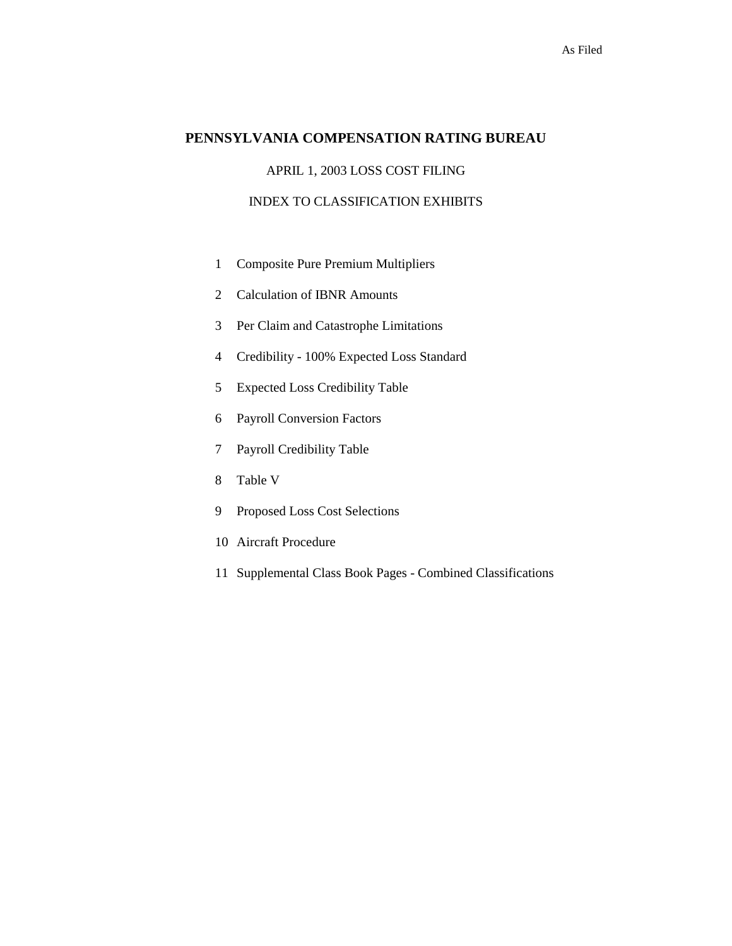# **PENNSYLVANIA COMPENSATION RATING BUREAU**

# APRIL 1, 2003 LOSS COST FILING

# INDEX TO CLASSIFICATION EXHIBITS

- 1 Composite Pure Premium Multipliers
- 2 Calculation of IBNR Amounts
- 3 Per Claim and Catastrophe Limitations
- 4 Credibility 100% Expected Loss Standard
- 5 Expected Loss Credibility Table
- 6 Payroll Conversion Factors
- 7 Payroll Credibility Table
- 8 Table V
- 9 Proposed Loss Cost Selections
- 10 Aircraft Procedure
- 11 Supplemental Class Book Pages Combined Classifications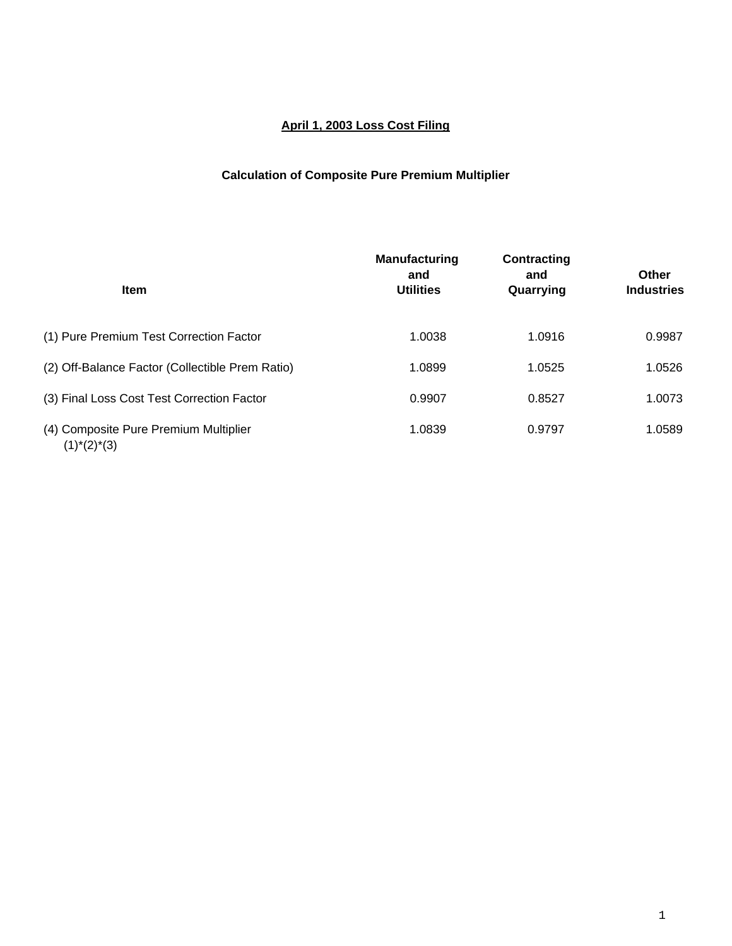# **April 1, 2003 Loss Cost Filing**

# **Calculation of Composite Pure Premium Multiplier**

| <b>Item</b>                                              | <b>Manufacturing</b><br>and<br><b>Utilities</b> | Contracting<br>and<br>Quarrying | <b>Other</b><br><b>Industries</b> |
|----------------------------------------------------------|-------------------------------------------------|---------------------------------|-----------------------------------|
| (1) Pure Premium Test Correction Factor                  | 1.0038                                          | 1.0916                          | 0.9987                            |
| (2) Off-Balance Factor (Collectible Prem Ratio)          | 1.0899                                          | 1.0525                          | 1.0526                            |
| (3) Final Loss Cost Test Correction Factor               | 0.9907                                          | 0.8527                          | 1.0073                            |
| (4) Composite Pure Premium Multiplier<br>$(1)^*(2)^*(3)$ | 1.0839                                          | 0.9797                          | 1.0589                            |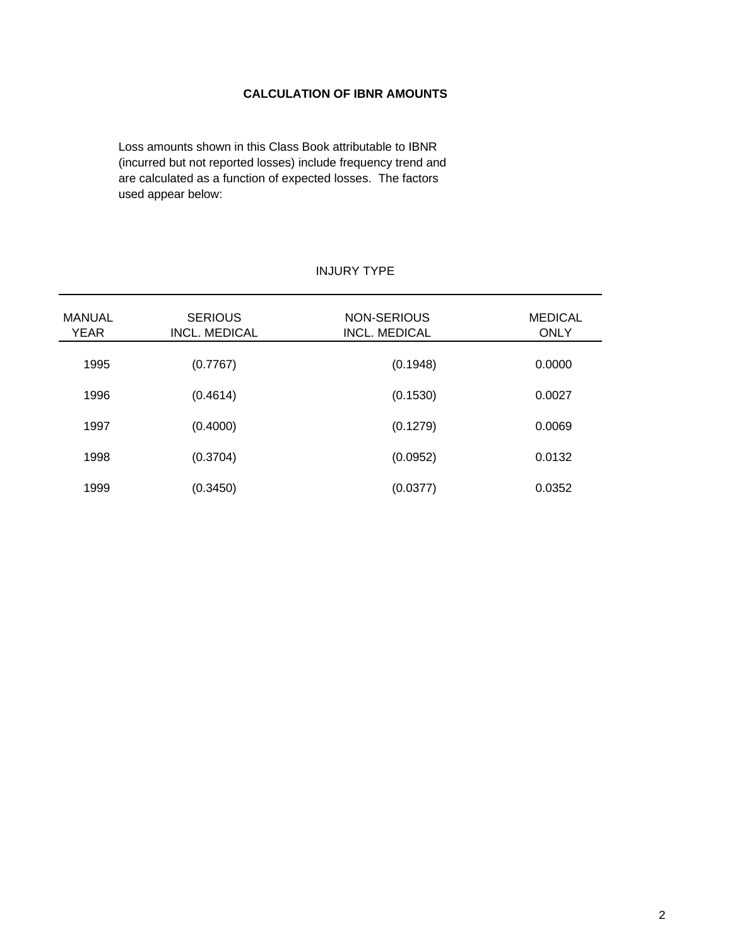# **CALCULATION OF IBNR AMOUNTS**

Loss amounts shown in this Class Book attributable to IBNR (incurred but not reported losses) include frequency trend and are calculated as a function of expected losses. The factors used appear below:

# INJURY TYPE

| MANUAL      | <b>SERIOUS</b>       | NON-SERIOUS          | <b>MEDICAL</b> |
|-------------|----------------------|----------------------|----------------|
| <b>YEAR</b> | <b>INCL. MEDICAL</b> | <b>INCL. MEDICAL</b> | <b>ONLY</b>    |
| 1995        | (0.7767)             | (0.1948)             | 0.0000         |
| 1996        | (0.4614)             | (0.1530)             | 0.0027         |
| 1997        | (0.4000)             | (0.1279)             | 0.0069         |
| 1998        | (0.3704)             | (0.0952)             | 0.0132         |
| 1999        | (0.3450)             | (0.0377)             | 0.0352         |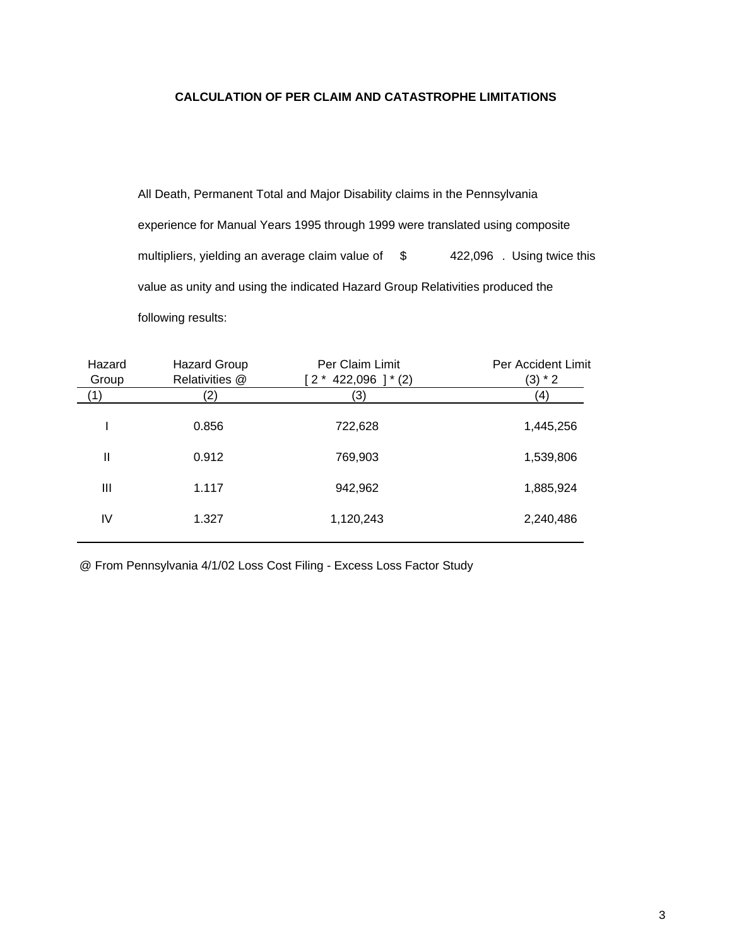# **CALCULATION OF PER CLAIM AND CATASTROPHE LIMITATIONS**

All Death, Permanent Total and Major Disability claims in the Pennsylvania experience for Manual Years 1995 through 1999 were translated using composite multipliers, yielding an average claim value of  $$$  422,096 . Using twice this value as unity and using the indicated Hazard Group Relativities produced the following results:

| Hazard<br><b>Hazard Group</b><br>Relativities @<br>Group |       | Per Claim Limit<br>$[2 * 422,096 ] * (2)$ | Per Accident Limit<br>$(3) * 2$ |  |  |  |
|----------------------------------------------------------|-------|-------------------------------------------|---------------------------------|--|--|--|
| (1)                                                      | 2)    | (3)                                       | (4)                             |  |  |  |
|                                                          | 0.856 | 722,628                                   | 1,445,256                       |  |  |  |
| $\mathbf{I}$                                             | 0.912 | 769,903                                   | 1,539,806                       |  |  |  |
| Ш                                                        | 1.117 | 942,962                                   | 1,885,924                       |  |  |  |
| IV                                                       | 1.327 | 1,120,243                                 | 2,240,486                       |  |  |  |
|                                                          |       |                                           |                                 |  |  |  |

@ From Pennsylvania 4/1/02 Loss Cost Filing - Excess Loss Factor Study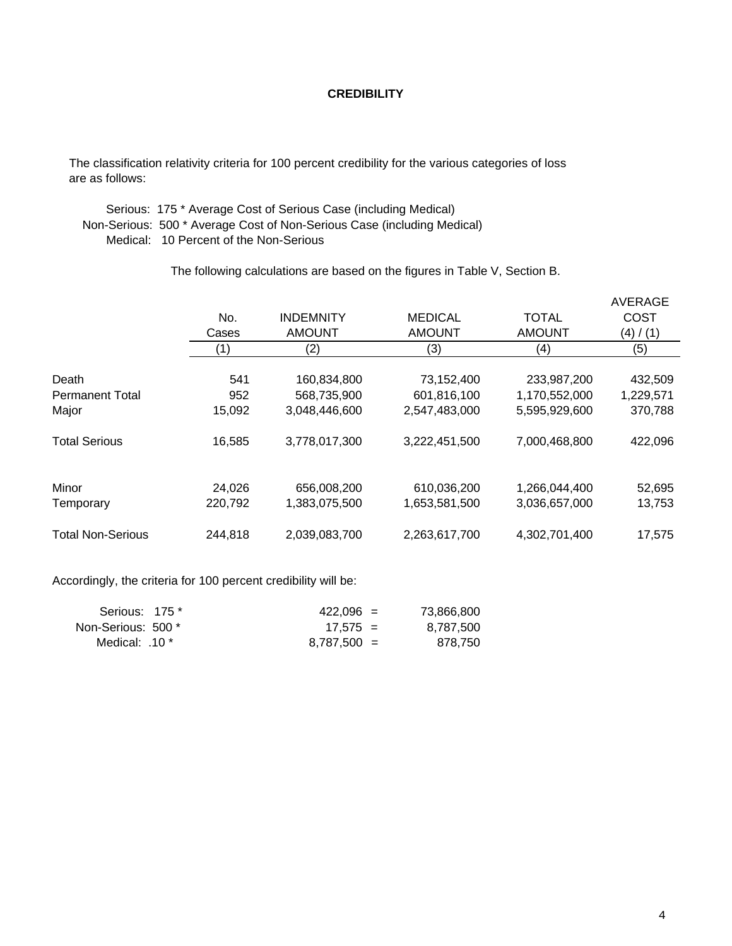# **CREDIBILITY**

 The classification relativity criteria for 100 percent credibility for the various categories of loss are as follows:

 Serious: 175 \* Average Cost of Serious Case (including Medical) Non-Serious: 500 \* Average Cost of Non-Serious Case (including Medical) Medical: 10 Percent of the Non-Serious

The following calculations are based on the figures in Table V, Section B.

|                          |         |                  |                |               | <b>AVERAGE</b> |
|--------------------------|---------|------------------|----------------|---------------|----------------|
|                          | No.     | <b>INDEMNITY</b> | <b>MEDICAL</b> | <b>TOTAL</b>  | <b>COST</b>    |
|                          | Cases   | <b>AMOUNT</b>    | <b>AMOUNT</b>  | <b>AMOUNT</b> | (4) / (1)      |
|                          | (1)     | (2)              | (3)            | (4)           | (5)            |
| Death                    | 541     | 160,834,800      | 73,152,400     | 233,987,200   | 432,509        |
| <b>Permanent Total</b>   | 952     | 568,735,900      | 601,816,100    | 1,170,552,000 | 1,229,571      |
| Major                    | 15,092  | 3,048,446,600    | 2,547,483,000  | 5,595,929,600 | 370,788        |
| <b>Total Serious</b>     | 16,585  | 3,778,017,300    | 3,222,451,500  | 7,000,468,800 | 422,096        |
| Minor                    | 24,026  | 656,008,200      | 610,036,200    | 1,266,044,400 | 52,695         |
| Temporary                | 220,792 | 1,383,075,500    | 1,653,581,500  | 3,036,657,000 | 13,753         |
| <b>Total Non-Serious</b> | 244,818 | 2,039,083,700    | 2,263,617,700  | 4,302,701,400 | 17,575         |

Accordingly, the criteria for 100 percent credibility will be:

| Serious: 175 *     | $422.096 =$   | 73,866,800 |
|--------------------|---------------|------------|
| Non-Serious: 500 * | $17.575 =$    | 8,787,500  |
| Medical: .10 *     | $8.787.500 =$ | 878.750    |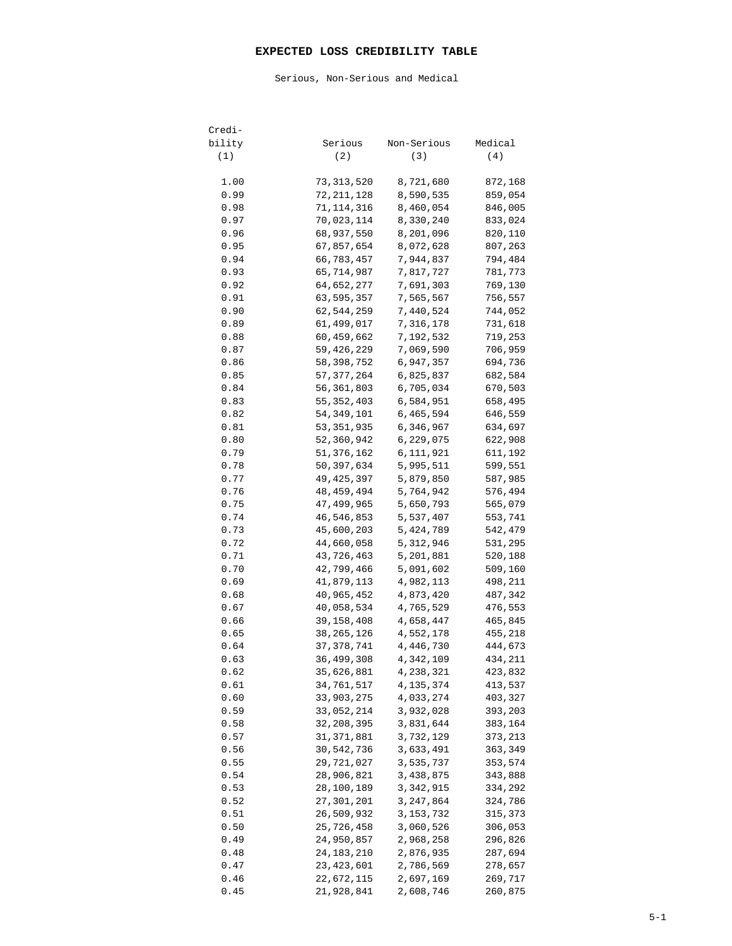## **EXPECTED LOSS CREDIBILITY TABLE**

Serious, Non-Serious and Medical

| Credi-       |                              |                          |                    |
|--------------|------------------------------|--------------------------|--------------------|
| bility       | Serious                      | Non-Serious              | Medical            |
| (1)          | (2)                          | (3)                      | (4)                |
| 1.00         | 73,313,520                   | 8,721,680                | 872,168            |
| 0.99         | 72,211,128                   | 8,590,535                | 859,054            |
| 0.98         | 71,114,316                   | 8,460,054                | 846,005            |
| 0.97         | 70,023,114                   | 8,330,240                | 833,024            |
| 0.96         | 68,937,550                   | 8,201,096                | 820,110            |
| 0.95         | 67,857,654                   | 8,072,628                | 807,263            |
| 0.94         | 66,783,457                   | 7,944,837                | 794,484            |
| 0.93         | 65,714,987                   | 7,817,727                | 781,773            |
| 0.92         | 64,652,277                   | 7,691,303                | 769,130            |
| 0.91         | 63,595,357                   | 7,565,567                | 756,557            |
| 0.90         | 62,544,259                   | 7,440,524                | 744,052            |
| 0.89         | 61,499,017                   | 7,316,178                | 731,618            |
| 0.88         | 60,459,662                   | 7,192,532                | 719,253            |
| 0.87         | 59,426,229                   | 7,069,590                | 706,959            |
| 0.86         | 58,398,752                   | 6,947,357                | 694,736            |
| 0.85         | 57, 377, 264                 | 6,825,837                | 682,584            |
| 0.84         | 56,361,803                   | 6,705,034                | 670,503            |
| 0.83         | 55, 352, 403                 | 6,584,951                | 658,495            |
| 0.82<br>0.81 | 54, 349, 101<br>53, 351, 935 | 6,465,594                | 646,559            |
| 0.80         | 52,360,942                   | 6,346,967<br>6,229,075   | 634,697<br>622,908 |
| 0.79         | 51,376,162                   | 6,111,921                | 611,192            |
| 0.78         | 50, 397, 634                 | 5,995,511                | 599,551            |
| 0.77         | 49, 425, 397                 | 5,879,850                | 587,985            |
| 0.76         | 48,459,494                   | 5,764,942                | 576,494            |
| 0.75         | 47,499,965                   | 5,650,793                | 565,079            |
| 0.74         | 46,546,853                   | 5,537,407                | 553,741            |
| 0.73         | 45,600,203                   | 5,424,789                | 542,479            |
| 0.72         | 44,660,058                   | 5,312,946                | 531,295            |
| 0.71         | 43,726,463                   | 5,201,881                | 520,188            |
| 0.70         | 42,799,466                   | 5,091,602                | 509,160            |
| 0.69         | 41,879,113                   | 4,982,113                | 498,211            |
| 0.68         | 40,965,452                   | 4,873,420                | 487,342            |
| 0.67         | 40,058,534                   | 4,765,529                | 476,553            |
| 0.66         | 39,158,408                   | 4,658,447                | 465,845            |
| 0.65         | 38,265,126                   | 4,552,178                | 455,218            |
| 0.64         | 37, 378, 741                 | 4,446,730                | 444,673            |
| 0.63         | 36,499,308                   | 4,342,109                | 434,211            |
| 0.62         | 35,626,881<br>34,761,517     | 4,238,321<br>4, 135, 374 | 423,832<br>413,537 |
| 0.61<br>0.60 | 33,903,275                   | 4,033,274                | 403,327            |
| 0.59         | 33,052,214                   | 3,932,028                | 393,203            |
| 0.58         | 32, 208, 395                 | 3,831,644                | 383,164            |
| 0.57         | 31, 371, 881                 | 3,732,129                | 373,213            |
| 0.56         | 30,542,736                   | 3,633,491                | 363,349            |
| 0.55         | 29,721,027                   | 3,535,737                | 353,574            |
| 0.54         | 28,906,821                   | 3,438,875                | 343,888            |
| 0.53         | 28,100,189                   | 3,342,915                | 334,292            |
| 0.52         | 27,301,201                   | 3,247,864                | 324,786            |
| 0.51         | 26,509,932                   | 3, 153, 732              | 315,373            |
| 0.50         | 25,726,458                   | 3,060,526                | 306,053            |
| 0.49         | 24,950,857                   | 2,968,258                | 296,826            |
| 0.48         | 24,183,210                   | 2,876,935                | 287,694            |
| 0.47         | 23, 423, 601                 | 2,786,569                | 278,657            |
| 0.46         | 22,672,115                   | 2,697,169                | 269,717            |
| 0.45         | 21,928,841                   | 2,608,746                | 260,875            |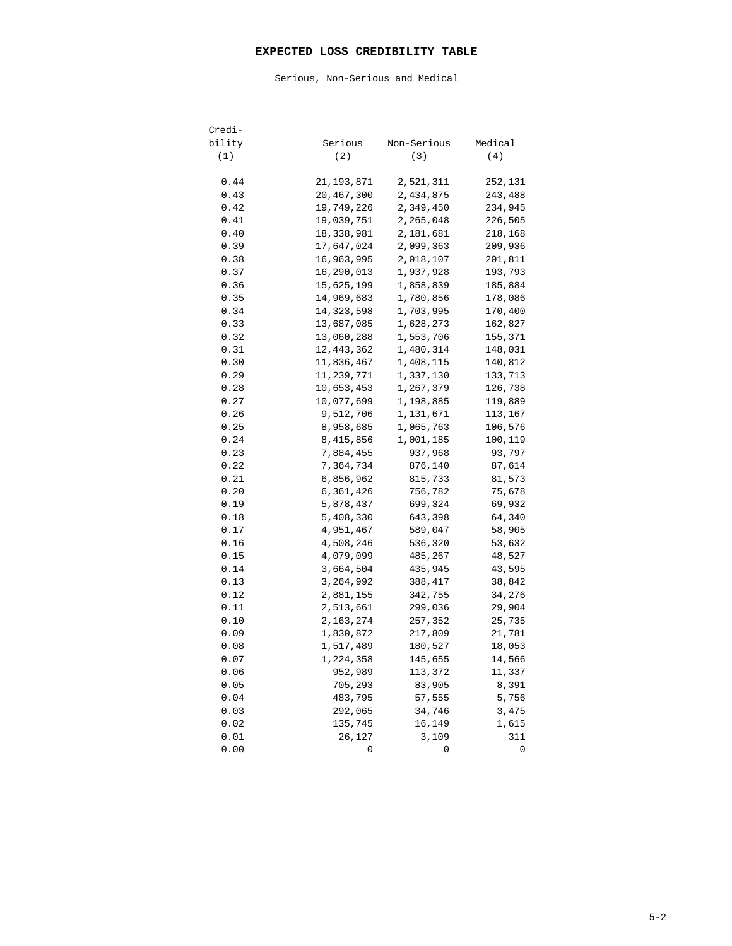## **EXPECTED LOSS CREDIBILITY TABLE**

Serious, Non-Serious and Medical

| Credi- |              |             |         |
|--------|--------------|-------------|---------|
| bility | Serious      | Non-Serious | Medical |
| (1)    | (2)          | (3)         | (4)     |
|        |              |             |         |
| 0.44   | 21, 193, 871 | 2,521,311   | 252,131 |
| 0.43   | 20,467,300   | 2,434,875   | 243,488 |
| 0.42   | 19,749,226   | 2,349,450   | 234,945 |
| 0.41   | 19,039,751   | 2,265,048   | 226,505 |
| 0.40   | 18,338,981   | 2,181,681   | 218,168 |
| 0.39   | 17,647,024   | 2,099,363   | 209,936 |
| 0.38   | 16,963,995   | 2,018,107   | 201,811 |
| 0.37   | 16,290,013   | 1,937,928   | 193,793 |
| 0.36   | 15,625,199   | 1,858,839   | 185,884 |
| 0.35   | 14,969,683   | 1,780,856   | 178,086 |
| 0.34   | 14,323,598   | 1,703,995   | 170,400 |
| 0.33   | 13,687,085   | 1,628,273   | 162,827 |
| 0.32   | 13,060,288   | 1,553,706   | 155,371 |
| 0.31   | 12,443,362   | 1,480,314   | 148,031 |
| 0.30   | 11,836,467   | 1,408,115   | 140,812 |
| 0.29   | 11,239,771   | 1,337,130   | 133,713 |
| 0.28   | 10,653,453   | 1,267,379   | 126,738 |
| 0.27   | 10,077,699   | 1,198,885   | 119,889 |
| 0.26   | 9,512,706    | 1,131,671   | 113,167 |
| 0.25   | 8,958,685    | 1,065,763   | 106,576 |
| 0.24   | 8,415,856    | 1,001,185   | 100,119 |
| 0.23   | 7,884,455    | 937,968     | 93,797  |
| 0.22   | 7,364,734    | 876,140     | 87,614  |
| 0.21   | 6,856,962    | 815,733     | 81,573  |
| 0.20   | 6,361,426    | 756,782     | 75,678  |
| 0.19   | 5,878,437    | 699,324     | 69,932  |
| 0.18   | 5,408,330    | 643,398     | 64,340  |
| 0.17   | 4,951,467    | 589,047     | 58,905  |
| 0.16   | 4,508,246    | 536,320     | 53,632  |
| 0.15   | 4,079,099    | 485,267     | 48,527  |
| 0.14   | 3,664,504    | 435,945     | 43,595  |
| 0.13   | 3,264,992    | 388,417     | 38,842  |
| 0.12   | 2,881,155    | 342,755     | 34,276  |
| 0.11   | 2,513,661    | 299,036     | 29,904  |
| 0.10   | 2,163,274    | 257,352     | 25,735  |
| 0.09   | 1,830,872    | 217,809     | 21,781  |
| 0.08   | 1,517,489    | 180,527     | 18,053  |
| 0.07   | 1,224,358    | 145,655     | 14,566  |
| 0.06   | 952,989      | 113,372     | 11,337  |
| 0.05   | 705,293      | 83,905      | 8,391   |
| 0.04   | 483,795      | 57,555      | 5,756   |
| 0.03   | 292,065      | 34,746      | 3,475   |
| 0.02   | 135,745      | 16,149      | 1,615   |
| 0.01   | 26,127       | 3,109       | 311     |
| 0.00   | 0            | 0           | 0       |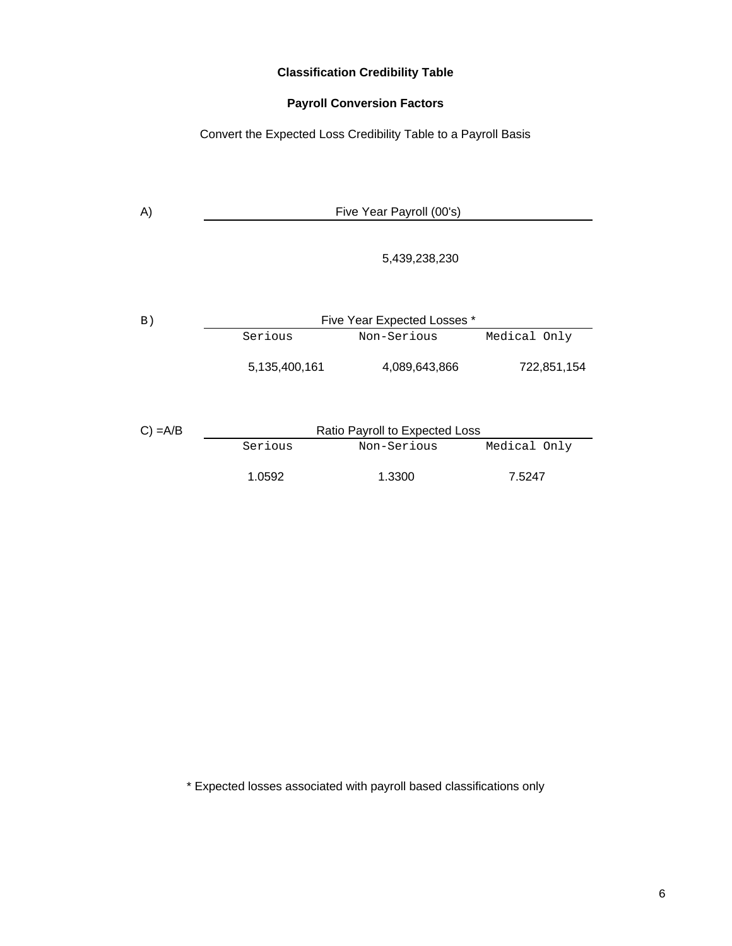# **Classification Credibility Table**

# **Payroll Conversion Factors**

Convert the Expected Loss Credibility Table to a Payroll Basis

| A)            | Five Year Payroll (00's) |                                |              |  |  |  |  |  |  |  |  |
|---------------|--------------------------|--------------------------------|--------------|--|--|--|--|--|--|--|--|
|               |                          | 5,439,238,230                  |              |  |  |  |  |  |  |  |  |
| B)            |                          | Five Year Expected Losses *    |              |  |  |  |  |  |  |  |  |
|               | Serious                  | Non-Serious                    | Medical Only |  |  |  |  |  |  |  |  |
|               | 5,135,400,161            | 4,089,643,866                  | 722,851,154  |  |  |  |  |  |  |  |  |
| $C$ ) = $A/B$ |                          | Ratio Payroll to Expected Loss |              |  |  |  |  |  |  |  |  |
|               | Serious                  | Non-Serious                    | Medical Only |  |  |  |  |  |  |  |  |
|               | 1.0592                   | 1.3300                         | 7.5247       |  |  |  |  |  |  |  |  |

\* Expected losses associated with payroll based classifications only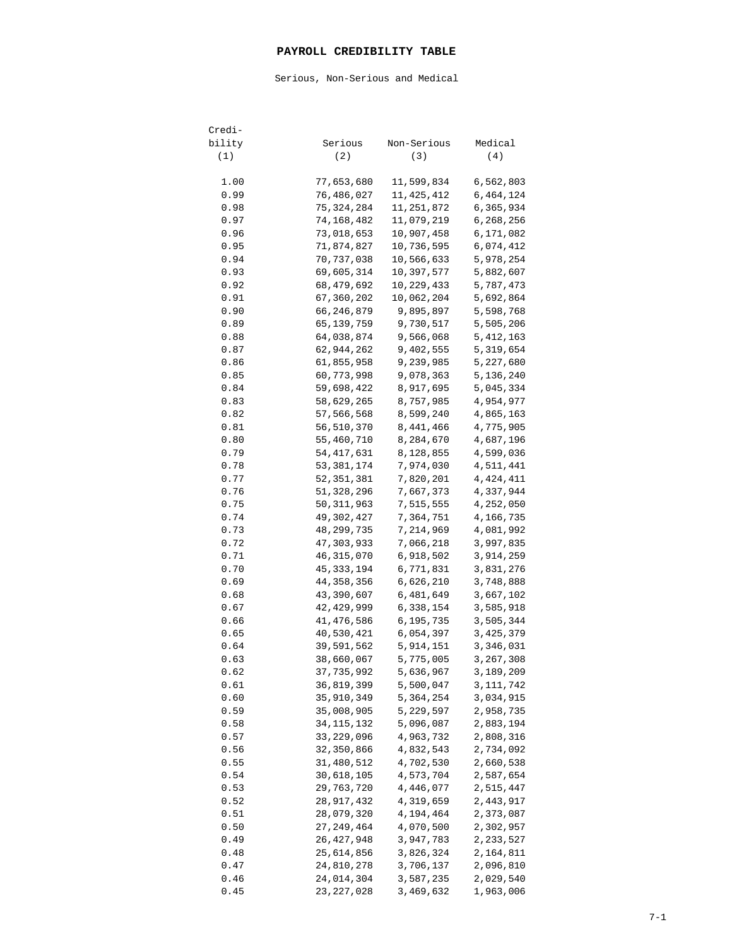## **PAYROLL CREDIBILITY TABLE**

Serious, Non-Serious and Medical

| Credi-       |                          |                        |                        |
|--------------|--------------------------|------------------------|------------------------|
| bility       | Serious                  | Non-Serious            | Medical                |
| (1)          | (2)                      | (3)                    | (4)                    |
| 1.00         | 77,653,680               | 11,599,834             | 6,562,803              |
| 0.99         | 76,486,027               | 11,425,412             | 6,464,124              |
| 0.98         | 75, 324, 284             | 11,251,872             | 6,365,934              |
| 0.97         | 74,168,482               | 11,079,219             | 6,268,256              |
| 0.96         | 73,018,653               | 10,907,458             | 6,171,082              |
| 0.95         | 71,874,827               | 10,736,595             | 6,074,412              |
| 0.94         | 70,737,038               | 10,566,633             | 5,978,254              |
| 0.93         | 69,605,314               | 10,397,577             | 5,882,607              |
| 0.92         | 68, 479, 692             | 10,229,433             | 5,787,473              |
| 0.91         | 67,360,202               | 10,062,204             | 5,692,864              |
| 0.90         | 66,246,879               | 9,895,897              | 5,598,768              |
| 0.89         | 65,139,759               | 9,730,517              | 5,505,206              |
| 0.88         | 64,038,874               | 9,566,068              | 5,412,163              |
| 0.87         | 62,944,262               | 9,402,555              | 5,319,654              |
| 0.86         | 61,855,958               | 9,239,985              | 5,227,680              |
| 0.85         | 60,773,998               | 9,078,363              | 5,136,240              |
| 0.84         | 59,698,422               | 8,917,695              | 5,045,334              |
| 0.83         | 58,629,265               | 8,757,985              | 4,954,977              |
| 0.82         | 57,566,568               | 8,599,240              | 4,865,163              |
| 0.81         | 56,510,370               | 8,441,466              | 4,775,905              |
| 0.80         | 55,460,710               | 8,284,670              | 4,687,196              |
| 0.79         | 54, 417, 631             | 8,128,855              | 4,599,036              |
| 0.78         | 53, 381, 174             | 7,974,030              | 4,511,441              |
| 0.77         | 52, 351, 381             | 7,820,201              | 4, 424, 411            |
| 0.76         | 51,328,296               | 7,667,373              | 4,337,944              |
| 0.75         | 50, 311, 963             | 7,515,555              | 4,252,050              |
| 0.74         | 49,302,427               | 7,364,751              | 4,166,735              |
| 0.73         | 48,299,735               | 7,214,969              | 4,081,992              |
| 0.72         | 47,303,933               | 7,066,218              | 3,997,835              |
| 0.71         | 46, 315, 070             | 6,918,502              | 3,914,259              |
| 0.70         | 45, 333, 194             | 6,771,831              | 3,831,276              |
| 0.69         | 44,358,356               | 6,626,210              | 3,748,888              |
| 0.68         | 43,390,607               | 6,481,649              | 3,667,102              |
| 0.67         | 42, 429, 999             | 6,338,154              | 3,585,918              |
| 0.66         | 41,476,586               | 6,195,735              | 3,505,344              |
| 0.65         | 40,530,421               | 6,054,397              | 3,425,379              |
| 0.64         | 39,591,562               | 5,914,151              | 3,346,031              |
| 0.63         | 38,660,067               | 5,775,005              | 3,267,308              |
| 0.62         | 37,735,992               | 5,636,967              | 3,189,209              |
| 0.61         | 36,819,399               | 5,500,047              | 3,111,742              |
| 0.60         | 35, 910, 349             | 5,364,254              | 3,034,915              |
| 0.59         | 35,008,905               | 5,229,597              | 2,958,735              |
| 0.58         | 34,115,132               | 5,096,087              | 2,883,194              |
| 0.57         | 33, 229, 096             | 4,963,732              | 2,808,316              |
| 0.56         | 32,350,866               | 4,832,543              | 2,734,092              |
| 0.55         | 31,480,512               | 4,702,530              | 2,660,538              |
| 0.54         | 30,618,105               | 4,573,704              | 2,587,654              |
| 0.53         | 29,763,720               | 4,446,077              | 2,515,447              |
| 0.52         | 28,917,432               | 4,319,659              | 2,443,917              |
| 0.51         | 28,079,320               | 4,194,464              | 2,373,087              |
| 0.50<br>0.49 | 27, 249, 464             | 4,070,500<br>3,947,783 | 2,302,957              |
| 0.48         | 26,427,948<br>25,614,856 | 3,826,324              | 2,233,527<br>2,164,811 |
| 0.47         | 24,810,278               | 3,706,137              | 2,096,810              |
| 0.46         | 24,014,304               | 3,587,235              | 2,029,540              |
| 0.45         | 23,227,028               | 3,469,632              | 1,963,006              |
|              |                          |                        |                        |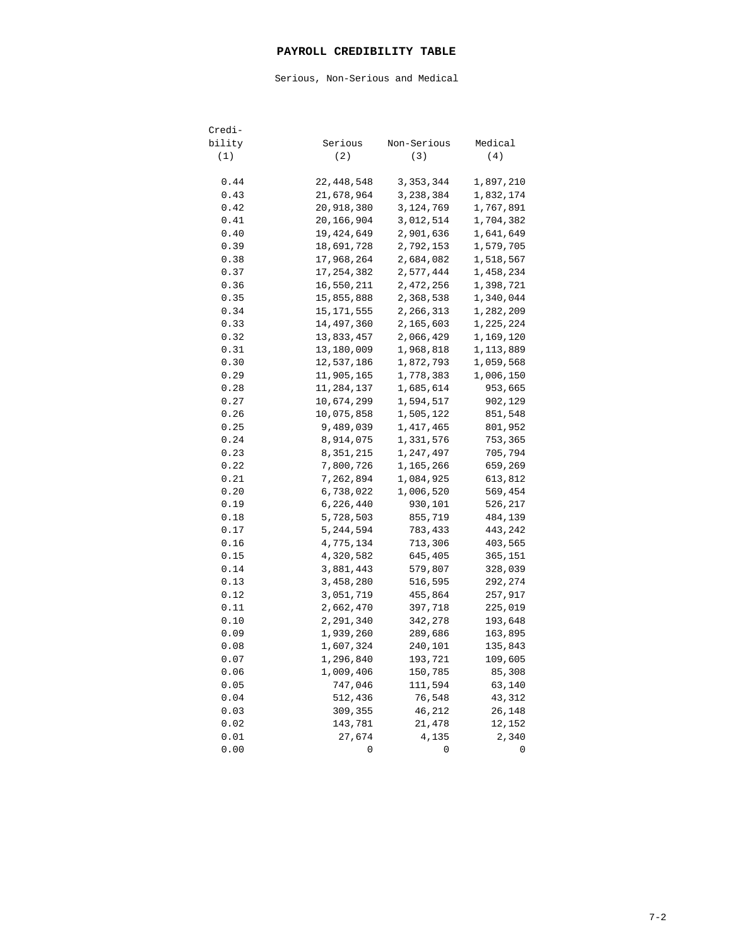## **PAYROLL CREDIBILITY TABLE**

Serious, Non-Serious and Medical

| Credi- |             |             |           |
|--------|-------------|-------------|-----------|
| bility | Serious     | Non-Serious | Medical   |
| (1)    | (2)         | (3)         | (4)       |
|        |             |             |           |
| 0.44   | 22,448,548  | 3, 353, 344 | 1,897,210 |
| 0.43   | 21,678,964  | 3,238,384   | 1,832,174 |
| 0.42   | 20,918,380  | 3,124,769   | 1,767,891 |
| 0.41   | 20,166,904  | 3,012,514   | 1,704,382 |
| 0.40   | 19,424,649  | 2,901,636   | 1,641,649 |
| 0.39   | 18,691,728  | 2,792,153   | 1,579,705 |
| 0.38   | 17,968,264  | 2,684,082   | 1,518,567 |
| 0.37   | 17,254,382  | 2,577,444   | 1,458,234 |
| 0.36   | 16,550,211  | 2,472,256   | 1,398,721 |
| 0.35   | 15,855,888  | 2,368,538   | 1,340,044 |
| 0.34   | 15,171,555  | 2,266,313   | 1,282,209 |
| 0.33   | 14,497,360  | 2,165,603   | 1,225,224 |
| 0.32   | 13,833,457  | 2,066,429   | 1,169,120 |
| 0.31   | 13,180,009  | 1,968,818   | 1,113,889 |
| 0.30   | 12,537,186  | 1,872,793   | 1,059,568 |
| 0.29   | 11,905,165  | 1,778,383   | 1,006,150 |
| 0.28   | 11,284,137  | 1,685,614   | 953,665   |
| 0.27   | 10,674,299  | 1,594,517   | 902,129   |
| 0.26   | 10,075,858  | 1,505,122   | 851,548   |
| 0.25   | 9,489,039   | 1, 417, 465 | 801,952   |
| 0.24   | 8,914,075   | 1,331,576   | 753,365   |
| 0.23   | 8,351,215   | 1,247,497   | 705,794   |
| 0.22   | 7,800,726   | 1,165,266   | 659,269   |
| 0.21   | 7,262,894   | 1,084,925   | 613,812   |
| 0.20   | 6,738,022   | 1,006,520   | 569,454   |
| 0.19   | 6,226,440   | 930,101     | 526,217   |
| 0.18   | 5,728,503   | 855,719     | 484,139   |
| 0.17   | 5, 244, 594 | 783,433     | 443,242   |
| 0.16   | 4,775,134   | 713,306     | 403,565   |
| 0.15   | 4,320,582   | 645,405     | 365,151   |
| 0.14   | 3,881,443   | 579,807     | 328,039   |
| 0.13   | 3,458,280   | 516,595     | 292,274   |
| 0.12   | 3,051,719   | 455,864     | 257,917   |
| 0.11   | 2,662,470   | 397,718     | 225,019   |
| 0.10   | 2,291,340   | 342,278     | 193,648   |
| 0.09   | 1,939,260   | 289,686     | 163,895   |
| 0.08   | 1,607,324   | 240,101     | 135,843   |
| 0.07   | 1,296,840   | 193,721     | 109,605   |
| 0.06   | 1,009,406   | 150,785     | 85,308    |
| 0.05   | 747,046     | 111,594     | 63,140    |
| 0.04   | 512,436     | 76,548      | 43,312    |
| 0.03   | 309,355     | 46,212      | 26,148    |
| 0.02   | 143,781     | 21,478      | 12,152    |
| 0.01   | 27,674      | 4,135       | 2,340     |
| 0.00   | 0           | 0           | 0         |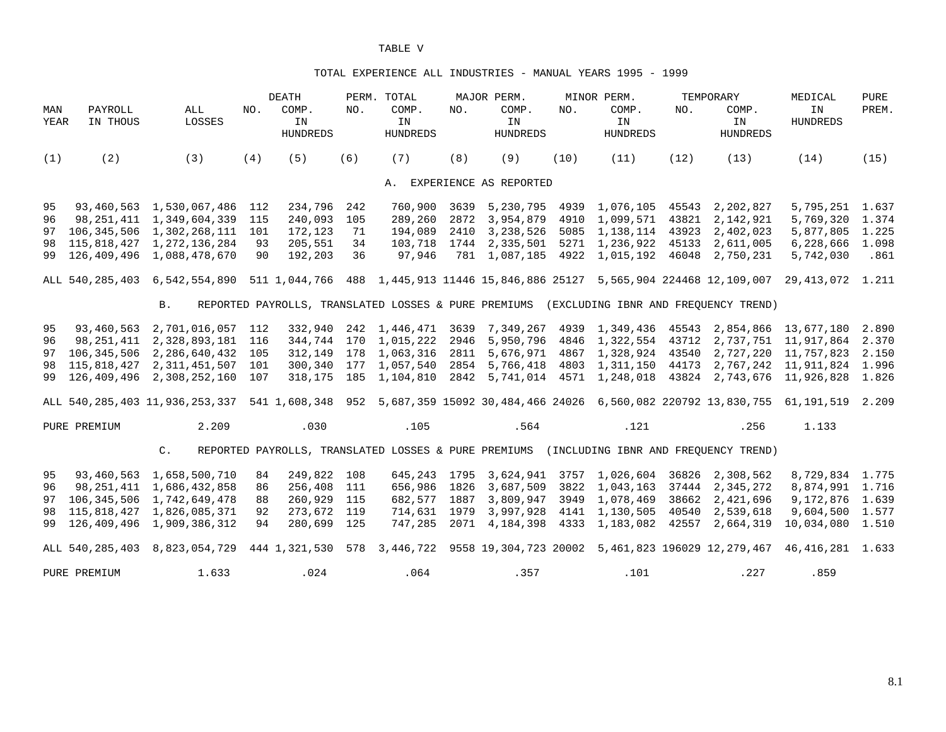#### TOTAL EXPERIENCE ALL INDUSTRIES - MANUAL YEARS 1995 - 1999

|             |                     |                                                                                                                                |     | DEATH                                                |     | PERM. TOTAL                    |      | MAJOR PERM.                                                 |      | MINOR PERM.                    |       | TEMPORARY                                                                                 | MEDICAL                                                                              | PURE  |
|-------------|---------------------|--------------------------------------------------------------------------------------------------------------------------------|-----|------------------------------------------------------|-----|--------------------------------|------|-------------------------------------------------------------|------|--------------------------------|-------|-------------------------------------------------------------------------------------------|--------------------------------------------------------------------------------------|-------|
| MAN<br>YEAR | PAYROLL<br>IN THOUS | ALL<br>LOSSES                                                                                                                  | NO. | COMP.<br>IN<br><b>HUNDREDS</b>                       | NO. | COMP.<br>IN<br><b>HUNDREDS</b> | NO.  | COMP.<br>IN<br><b>HUNDREDS</b>                              | NO.  | COMP.<br>IN<br><b>HUNDREDS</b> | NO.   | COMP.<br>IN<br><b>HUNDREDS</b>                                                            | ΙN<br><b>HUNDREDS</b>                                                                | PREM. |
| (1)         | (2)                 | (3)                                                                                                                            | (4) | (5)                                                  | (6) | (7)                            | (8)  | (9)                                                         | (10) | (11)                           | (12)  | (13)                                                                                      | (14)                                                                                 | (15)  |
|             |                     |                                                                                                                                |     |                                                      |     |                                |      | A. EXPERIENCE AS REPORTED                                   |      |                                |       |                                                                                           |                                                                                      |       |
| 95          |                     | 93,460,563 1,530,067,486                                                                                                       | 112 | 234,796                                              | 242 | 760,900                        | 3639 | 5,230,795                                                   |      | 4939 1,076,105 45543           |       | 2,202,827                                                                                 | 5,795,251 1.637                                                                      |       |
| 96          | 98,251,411          | 1,349,604,339                                                                                                                  | 115 | 240,093                                              | 105 | 289,260                        | 2872 |                                                             |      | 3,954,879 4910 1,099,571       | 43821 | 2,142,921                                                                                 | 5,769,320 1.374                                                                      |       |
|             |                     | 97 106, 345, 506 1, 302, 268, 111 101                                                                                          |     | 172,123                                              | 71  | 194,089                        |      | 2410 3,238,526 5085 1,138,114 43923                         |      |                                |       | 2,402,023                                                                                 | 5,877,805 1.225                                                                      |       |
|             |                     | 98 115,818,427 1,272,136,284                                                                                                   | 93  | 205,551                                              | 34  |                                |      | 103,718  1744  2,335,501  5271  1,236,922  45133  2,611,005 |      |                                |       |                                                                                           | 6,228,666 1.098                                                                      |       |
|             |                     | 99 126,409,496 1,088,478,670                                                                                                   | 90  | 192,203                                              | 36  | 97,946                         |      |                                                             |      |                                |       | 781 1,087,185 4922 1,015,192 46048 2,750,231                                              | 5,742,030                                                                            | .861  |
|             |                     | ALL 540,285,403 6,542,554,890 511 1,044,766 488 1,445,913 11446 15,846,886 25127 5,565,904 224468 12,109,007 29,413,072 1.211  |     |                                                      |     |                                |      |                                                             |      |                                |       |                                                                                           |                                                                                      |       |
|             |                     | <b>B.</b>                                                                                                                      |     |                                                      |     |                                |      |                                                             |      |                                |       | REPORTED PAYROLLS, TRANSLATED LOSSES & PURE PREMIUMS (EXCLUDING IBNR AND FREOUENCY TREND) |                                                                                      |       |
| 95          | 93,460,563          | 2,701,016,057 112                                                                                                              |     |                                                      |     |                                |      |                                                             |      |                                |       |                                                                                           | 332,940 242 1,446,471 3639 7,349,267 4939 1,349,436 45543 2,854,866 13,677,180       | 2.890 |
| 96          |                     | 98, 251, 411 2, 328, 893, 181 116                                                                                              |     |                                                      |     |                                |      |                                                             |      |                                |       |                                                                                           | 344,744 170 1,015,222 2946 5,950,796 4846 1,322,554 43712 2,737,751 11,917,864 2.370 |       |
|             |                     | 97 106,345,506 2,286,640,432 105                                                                                               |     |                                                      |     |                                |      |                                                             |      |                                |       |                                                                                           | 312,149 178 1,063,316 2811 5,676,971 4867 1,328,924 43540 2,727,220 11,757,823       | 2.150 |
| 98          |                     | 115,818,427 2,311,451,507 101                                                                                                  |     |                                                      |     |                                |      |                                                             |      |                                |       |                                                                                           | 300,340 177 1,057,540 2854 5,766,418 4803 1,311,150 44173 2,767,242 11,911,824 1.996 |       |
|             |                     | 99 126,409,496 2,308,252,160 107                                                                                               |     |                                                      |     |                                |      |                                                             |      |                                |       |                                                                                           | 318,175 185 1,104,810 2842 5,741,014 4571 1,248,018 43824 2,743,676 11,926,828 1.826 |       |
|             |                     | ALL 540,285,403 11,936,253,337 541 1,608,348 952 5,687,359 15092 30,484,466 24026 6,560,082 220792 13,830,755 61,191,519 2.209 |     |                                                      |     |                                |      |                                                             |      |                                |       |                                                                                           |                                                                                      |       |
|             | PURE PREMIUM        | 2.209                                                                                                                          |     | .030                                                 |     | .105                           |      | .564                                                        |      | .121                           |       | .256                                                                                      | 1.133                                                                                |       |
|             |                     | $C_{\bullet}$                                                                                                                  |     | REPORTED PAYROLLS, TRANSLATED LOSSES & PURE PREMIUMS |     |                                |      |                                                             |      |                                |       | (INCLUDING IBNR AND FREQUENCY TREND)                                                      |                                                                                      |       |
| 95          |                     | 93,460,563 1,658,500,710                                                                                                       | 84  | 249,822 108                                          |     |                                |      | 645,243 1795 3,624,941 3757 1,026,604                       |      |                                |       | 36826 2,308,562                                                                           | 8,729,834 1.775                                                                      |       |
| 96          |                     | 98, 251, 411 1, 686, 432, 858                                                                                                  | 86  | 256,408 111                                          |     |                                |      | 656,986 1826 3,687,509 3822 1,043,163                       |      |                                |       | 37444 2,345,272                                                                           | 8,874,991 1.716                                                                      |       |
| 97          |                     | 106, 345, 506 1, 742, 649, 478                                                                                                 | 88  | 260,929 115                                          |     | 682,577                        | 1887 | 3,809,947                                                   |      | 3949 1,078,469                 | 38662 | 2,421,696                                                                                 | 9, 172, 876 1.639                                                                    |       |
| 98          |                     | 115,818,427 1,826,085,371                                                                                                      | 92  | 273,672 119                                          |     | 714,631 1979                   |      |                                                             |      | 3,997,928 4141 1,130,505       | 40540 | 2,539,618                                                                                 | 9,604,500 1.577                                                                      |       |
|             |                     | 99 126,409,496 1,909,386,312                                                                                                   | 94  | 280,699 125                                          |     | 747,285                        | 2071 |                                                             |      | 4, 184, 398 4333 1, 183, 082   | 42557 | 2,664,319                                                                                 | 10,034,080 1.510                                                                     |       |
|             |                     | ALL 540,285,403 8,823,054,729 444 1,321,530 578 3,446,722 9558 19,304,723 20002 5,461,823 196029 12,279,467 46,416,281 1.633   |     |                                                      |     |                                |      |                                                             |      |                                |       |                                                                                           |                                                                                      |       |
|             | PURE PREMIUM        | 1.633                                                                                                                          |     | .024                                                 |     | .064                           |      | .357                                                        |      | .101                           |       | .227                                                                                      | .859                                                                                 |       |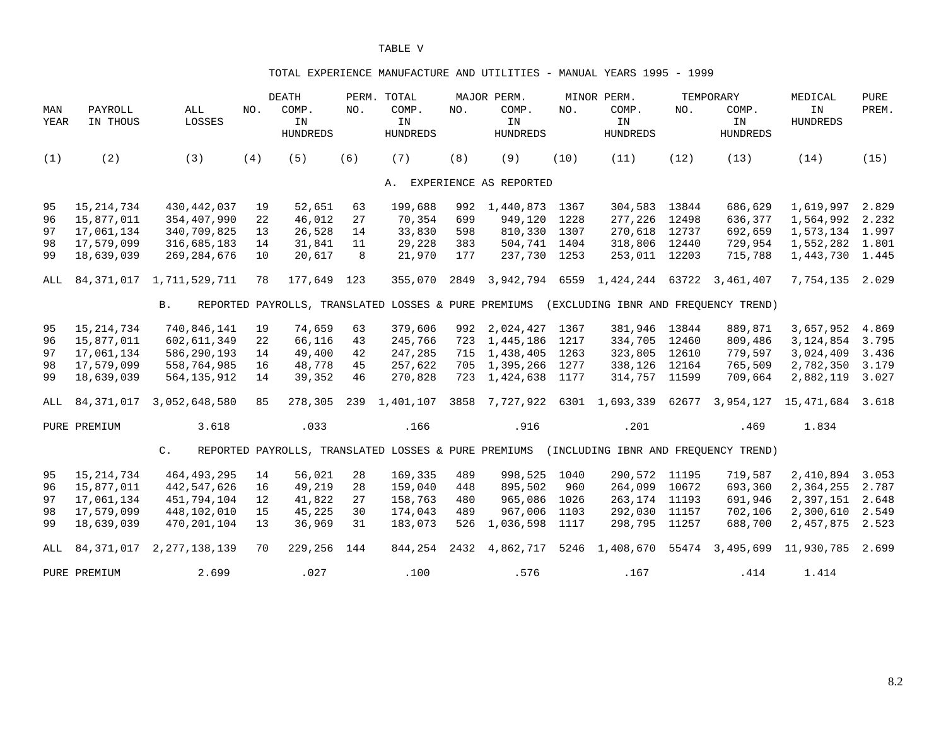#### TOTAL EXPERIENCE MANUFACTURE AND UTILITIES - MANUAL YEARS 1995 - 1999

|             |                     |                               |     | <b>DEATH</b>                                         |     | PERM. TOTAL                    |      | MAJOR PERM.                    |      | MINOR PERM.                              |       | TEMPORARY               | MEDICAL               | <b>PURE</b> |
|-------------|---------------------|-------------------------------|-----|------------------------------------------------------|-----|--------------------------------|------|--------------------------------|------|------------------------------------------|-------|-------------------------|-----------------------|-------------|
| MAN<br>YEAR | PAYROLL<br>IN THOUS | ALL<br>LOSSES                 | NO. | COMP.<br>IN<br><b>HUNDREDS</b>                       | NO. | COMP.<br>IN<br><b>HUNDREDS</b> | NO.  | COMP.<br>IN<br><b>HUNDREDS</b> | NO.  | COMP.<br>IN<br><b>HUNDREDS</b>           | NO.   | COMP.<br>IN<br>HUNDREDS | IN<br><b>HUNDREDS</b> | PREM.       |
| (1)         | (2)                 | (3)                           | (4) | (5)                                                  | (6) | (7)                            | (8)  | (9)                            | (10) | (11)                                     | (12)  | (13)                    | (14)                  | (15)        |
|             |                     |                               |     |                                                      |     |                                |      | A. EXPERIENCE AS REPORTED      |      |                                          |       |                         |                       |             |
| 95          | 15, 214, 734        | 430, 442, 037                 | 19  | 52,651                                               | 63  | 199,688                        | 992  | 1,440,873                      | 1367 | 304,583 13844                            |       | 686,629                 | 1,619,997             | 2.829       |
| 96          | 15,877,011          | 354,407,990                   | 22  | 46,012                                               | 27  | 70,354                         | 699  | 949,120                        | 1228 | 277,226 12498                            |       | 636,377                 | 1,564,992             | 2.232       |
| 97          | 17,061,134          | 340,709,825                   | 13  | 26,528                                               | 14  | 33,830                         | 598  | 810,330 1307                   |      | 270,618 12737                            |       | 692,659                 | 1,573,134 1.997       |             |
| 98          | 17,579,099          | 316,685,183                   | 14  | 31,841                                               | 11  | 29,228                         | 383  | 504,741                        | 1404 | 318,806 12440                            |       | 729,954                 | 1,552,282 1.801       |             |
| 99          | 18,639,039          | 269, 284, 676                 | 10  | 20,617                                               | 8   | 21,970                         | 177  | 237,730 1253                   |      | 253,011 12203                            |       | 715,788                 | 1,443,730 1.445       |             |
| ALL         |                     | 84, 371, 017 1, 711, 529, 711 | 78  | 177,649 123                                          |     | 355,070                        | 2849 |                                |      | 3,942,794 6559 1,424,244 63722 3,461,407 |       |                         | 7,754,135             | 2.029       |
|             |                     | <b>B</b> .                    |     | REPORTED PAYROLLS, TRANSLATED LOSSES & PURE PREMIUMS |     |                                |      |                                |      | (EXCLUDING IBNR AND FREOUENCY TREND)     |       |                         |                       |             |
| 95          | 15, 214, 734        | 740,846,141                   | 19  | 74,659                                               | 63  | 379,606                        | 992  | 2,024,427 1367                 |      | 381,946 13844                            |       | 889,871                 | 3,657,952             | 4.869       |
| 96          | 15,877,011          | 602,611,349                   | 22  | 66,116                                               | 43  | 245,766                        | 723  | 1,445,186                      | 1217 | 334,705 12460                            |       | 809,486                 | 3,124,854             | 3.795       |
| 97          | 17,061,134          | 586,290,193                   | 14  | 49,400                                               | 42  | 247,285                        | 715  | 1,438,405                      | 1263 | 323,805                                  | 12610 | 779,597                 | 3,024,409             | 3.436       |
| 98          | 17,579,099          | 558,764,985                   | 16  | 48,778                                               | 45  | 257,622                        |      | 705 1,395,266                  | 1277 | 338,126                                  | 12164 | 765,509                 | 2,782,350             | 3.179       |
| 99          | 18,639,039          | 564, 135, 912                 | 14  | 39,352                                               | 46  | 270,828                        | 723  | 1,424,638                      | 1177 | 314,757                                  | 11599 | 709,664                 | 2,882,119             | 3.027       |
| ALL         | 84,371,017          | 3,052,648,580                 | 85  | 278,305                                              |     | 239 1,401,107                  |      |                                |      | 3858 7,727,922 6301 1,693,339 62677      |       |                         | 3,954,127 15,471,684  | 3.618       |
|             | PURE PREMIUM        | 3.618                         |     | .033                                                 |     | .166                           |      | .916                           |      | .201                                     |       | .469                    | 1.834                 |             |
|             |                     | $C$ .                         |     | REPORTED PAYROLLS, TRANSLATED LOSSES & PURE PREMIUMS |     |                                |      |                                |      | (INCLUDING IBNR AND FREQUENCY TREND)     |       |                         |                       |             |
| 95          | 15, 214, 734        | 464,493,295                   | 14  | 56,021                                               | 28  | 169,335                        | 489  | 998,525                        | 1040 | 290,572 11195                            |       | 719,587                 | 2,410,894             | 3.053       |
| 96          | 15,877,011          | 442,547,626                   | 16  | 49,219                                               | 28  | 159,040                        | 448  | 895,502                        | 960  | 264,099                                  | 10672 | 693,360                 | 2,364,255             | 2.787       |
| 97          | 17,061,134          | 451,794,104                   | 12  | 41,822                                               | 27  | 158,763                        | 480  | 965,086                        | 1026 | 263,174                                  | 11193 | 691,946                 | 2,397,151             | 2.648       |
| 98          | 17,579,099          | 448,102,010                   | 15  | 45,225                                               | 30  | 174,043                        | 489  | 967,006                        | 1103 | 292,030                                  | 11157 | 702,106                 | 2,300,610             | 2.549       |
| 99          | 18,639,039          | 470,201,104                   | 13  | 36,969                                               | 31  | 183,073                        | 526  | 1,036,598                      | 1117 | 298,795                                  | 11257 | 688,700                 | 2,457,875             | 2.523       |
| ALL         | 84,371,017          | 2, 277, 138, 139              | 70  | 229,256                                              | 144 | 844,254                        |      | 2432 4,862,717                 |      | 5246 1,408,670 55474                     |       | 3,495,699               | 11,930,785            | 2.699       |
|             | PURE PREMIUM        | 2.699                         |     | .027                                                 |     | .100                           |      | .576                           |      | .167                                     |       | .414                    | 1.414                 |             |

8.2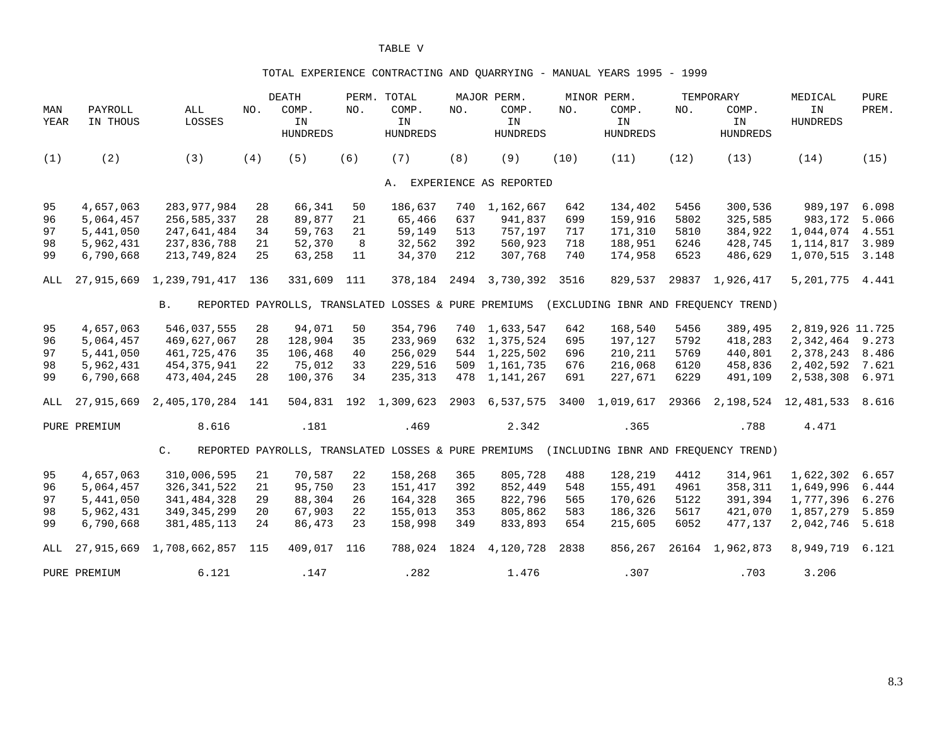### TOTAL EXPERIENCE CONTRACTING AND QUARRYING - MANUAL YEARS 1995 - 1999

|             |                     |                          |     | DEATH                                                |     | PERM. TOTAL                    |     | MAJOR PERM.                    |      | MINOR PERM.                          |       | TEMPORARY                      | MEDICAL                        | <b>PURE</b> |
|-------------|---------------------|--------------------------|-----|------------------------------------------------------|-----|--------------------------------|-----|--------------------------------|------|--------------------------------------|-------|--------------------------------|--------------------------------|-------------|
| MAN<br>YEAR | PAYROLL<br>IN THOUS | $\mathtt{ALL}$<br>LOSSES | NO. | COMP.<br>IN<br><b>HUNDREDS</b>                       | NO. | COMP.<br>IN<br><b>HUNDREDS</b> | NO. | COMP.<br>IN<br><b>HUNDREDS</b> | NO.  | COMP.<br>IN<br><b>HUNDREDS</b>       | NO.   | COMP.<br>IN<br><b>HUNDREDS</b> | IN<br><b>HUNDREDS</b>          | PREM.       |
| (1)         | (2)                 | (3)                      | (4) | (5)                                                  | (6) | (7)                            | (8) | (9)                            | (10) | (11)                                 | (12)  | (13)                           | (14)                           | (15)        |
|             |                     |                          |     |                                                      |     |                                |     | A. EXPERIENCE AS REPORTED      |      |                                      |       |                                |                                |             |
| 95          | 4,657,063           | 283, 977, 984            | 28  | 66,341                                               | 50  | 186,637                        | 740 | 1,162,667                      | 642  | 134,402                              | 5456  | 300,536                        | 989,197                        | 6.098       |
| 96          | 5,064,457           | 256,585,337              | 28  | 89,877                                               | 21  | 65,466                         | 637 | 941,837                        | 699  | 159,916                              | 5802  | 325,585                        | 983,172                        | 5.066       |
| 97          | 5,441,050           | 247,641,484              | 34  | 59,763                                               | 21  | 59,149                         | 513 | 757,197                        | 717  | 171,310                              | 5810  | 384,922                        | 1,044,074                      | 4.551       |
| 98          | 5,962,431           | 237,836,788              | 21  | 52,370                                               | 8   | 32,562                         | 392 | 560,923                        | 718  | 188,951                              | 6246  | 428,745                        | 1,114,817                      | 3.989       |
| 99          | 6,790,668           | 213,749,824              | 25  | 63,258                                               | 11  | 34,370                         | 212 | 307,768                        | 740  | 174,958                              | 6523  | 486,629                        | 1,070,515                      | 3.148       |
| ALL         | 27,915,669          | 1,239,791,417            | 136 | 331,609                                              | 111 | 378,184                        |     | 2494 3,730,392                 | 3516 | 829,537                              | 29837 | 1,926,417                      | 5,201,775                      | 4.441       |
|             |                     | <b>B</b> .               |     | REPORTED PAYROLLS, TRANSLATED LOSSES & PURE PREMIUMS |     |                                |     |                                |      | (EXCLUDING IBNR AND FREOUENCY TREND) |       |                                |                                |             |
| 95          | 4,657,063           | 546,037,555              | 28  | 94,071                                               | 50  | 354,796                        |     | 740 1,633,547                  | 642  | 168,540                              | 5456  | 389,495                        | 2,819,926 11.725               |             |
| 96          | 5,064,457           | 469,627,067              | 28  | 128,904                                              | 35  | 233,969                        | 632 | 1,375,524                      | 695  | 197,127                              | 5792  | 418,283                        | 2,342,464                      | 9.273       |
| 97          | 5,441,050           | 461,725,476              | 35  | 106,468                                              | 40  | 256,029                        |     | 544 1,225,502                  | 696  | 210,211                              | 5769  | 440,801                        | 2,378,243                      | 8.486       |
| 98          | 5,962,431           | 454, 375, 941            | 22  | 75,012                                               | 33  | 229,516                        |     | 509 1, 161, 735                | 676  | 216,068                              | 6120  | 458,836                        | 2,402,592                      | 7.621       |
| 99          | 6,790,668           | 473, 404, 245            | 28  | 100,376                                              | 34  | 235,313                        |     | 478 1, 141, 267                | 691  | 227,671                              | 6229  | 491,109                        | 2,538,308                      | 6.971       |
| ALL         | 27,915,669          | 2,405,170,284 141        |     |                                                      |     | 504,831 192 1,309,623          |     | 2903 6,537,575                 |      | 3400 1,019,617                       |       |                                | 29366 2, 198, 524 12, 481, 533 | 8.616       |
|             | PURE PREMIUM        | 8.616                    |     | .181                                                 |     | .469                           |     | 2.342                          |      | .365                                 |       | .788                           | 4.471                          |             |
|             |                     | $C_{\bullet}$            |     | REPORTED PAYROLLS, TRANSLATED LOSSES & PURE PREMIUMS |     |                                |     |                                |      | (INCLUDING IBNR AND FREOUENCY TREND) |       |                                |                                |             |
| 95          | 4,657,063           | 310,006,595              | 21  | 70,587                                               | 22  | 158,268                        | 365 | 805,728                        | 488  | 128,219                              | 4412  | 314,961                        | 1,622,302                      | 6.657       |
| 96          | 5,064,457           | 326, 341, 522            | 21  | 95,750                                               | 23  | 151,417                        | 392 | 852,449                        | 548  | 155,491                              | 4961  | 358,311                        | 1,649,996                      | 6.444       |
| 97          | 5,441,050           | 341, 484, 328            | 29  | 88,304                                               | 26  | 164,328                        | 365 | 822,796                        | 565  | 170,626                              | 5122  | 391,394                        | 1,777,396                      | 6.276       |
| 98          | 5,962,431           | 349, 345, 299            | 20  | 67,903                                               | 22  | 155,013                        | 353 | 805,862                        | 583  | 186,326                              | 5617  | 421,070                        | 1,857,279                      | 5.859       |
| 99          | 6,790,668           | 381, 485, 113            | 24  | 86,473                                               | 23  | 158,998                        | 349 | 833,893                        | 654  | 215,605                              | 6052  | 477,137                        | 2,042,746                      | 5.618       |
| ALL         | 27,915,669          | 1,708,662,857            | 115 | 409,017                                              | 116 | 788,024                        |     | 1824 4, 120, 728               | 2838 | 856,267                              |       | 26164 1,962,873                | 8,949,719                      | 6.121       |
|             | PURE PREMIUM        | 6.121                    |     | .147                                                 |     | .282                           |     | 1.476                          |      | .307                                 |       | .703                           | 3.206                          |             |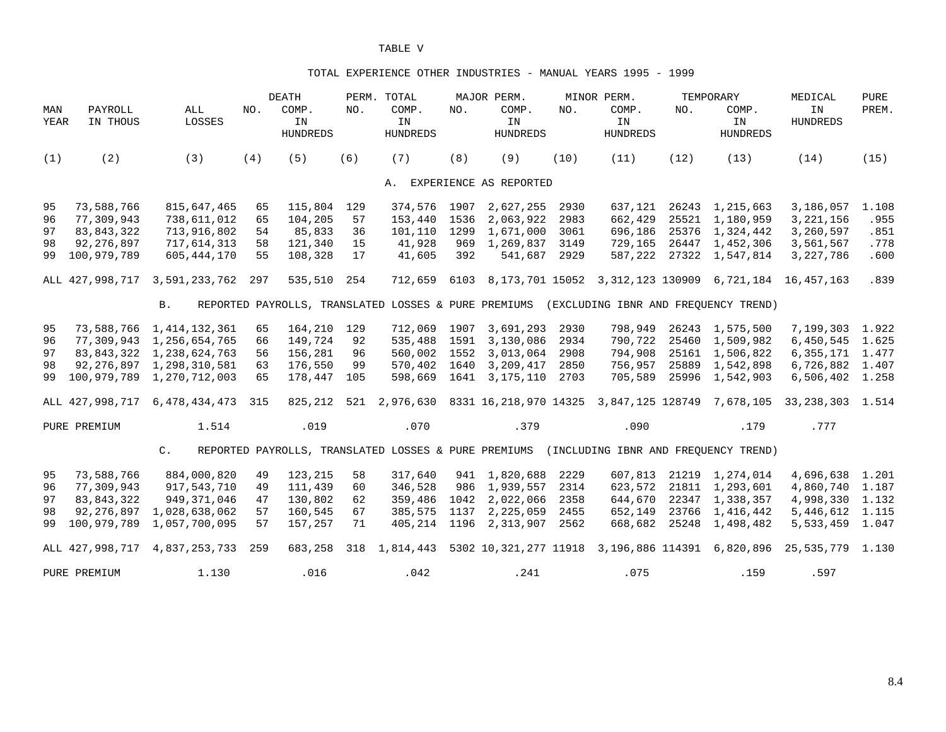#### TOTAL EXPERIENCE OTHER INDUSTRIES - MANUAL YEARS 1995 - 1999

|             |                     |                                   |     | <b>DEATH</b>                   |     | PERM. TOTAL                                          |      | MAJOR PERM.                    |      | MINOR PERM.                    |       | TEMPORARY                                        | MEDICAL                                                           | PURE  |
|-------------|---------------------|-----------------------------------|-----|--------------------------------|-----|------------------------------------------------------|------|--------------------------------|------|--------------------------------|-------|--------------------------------------------------|-------------------------------------------------------------------|-------|
| MAN<br>YEAR | PAYROLL<br>IN THOUS | ALL<br>LOSSES                     | NO. | COMP.<br>IN<br><b>HUNDREDS</b> | NO. | COMP.<br>IN<br><b>HUNDREDS</b>                       | NO.  | COMP.<br>IN<br><b>HUNDREDS</b> | NO.  | COMP.<br>IN<br><b>HUNDREDS</b> | NO.   | COMP.<br>IN<br><b>HUNDREDS</b>                   | IN<br><b>HUNDREDS</b>                                             | PREM. |
| (1)         | (2)                 | (3)                               | (4) | (5)                            | (6) | (7)                                                  | (8)  | (9)                            | (10) | (11)                           | (12)  | (13)                                             | (14)                                                              | (15)  |
|             |                     |                                   |     |                                |     |                                                      |      | A. EXPERIENCE AS REPORTED      |      |                                |       |                                                  |                                                                   |       |
| 95          | 73,588,766          | 815,647,465                       | 65  | 115,804                        | 129 | 374,576 1907                                         |      | 2,627,255                      | 2930 | 637,121                        |       | 26243 1, 215, 663                                | 3,186,057                                                         | 1.108 |
| 96          | 77,309,943          | 738,611,012                       | 65  | 104,205                        | 57  | 153,440                                              | 1536 | 2,063,922                      | 2983 | 662,429                        |       | 25521 1,180,959                                  | 3, 221, 156                                                       | .955  |
| 97          | 83,843,322          | 713,916,802                       | 54  | 85,833                         | 36  | 101,110                                              | 1299 | 1,671,000                      | 3061 | 696,186                        |       | 25376 1,324,442                                  | 3,260,597                                                         | .851  |
| 98          | 92,276,897          | 717,614,313                       | 58  | 121,340                        | 15  | 41,928                                               | 969  | 1,269,837                      | 3149 | 729,165                        |       | 26447 1,452,306                                  | 3,561,567                                                         | .778  |
| 99          | 100,979,789         | 605, 444, 170                     | 55  | 108,328                        | 17  | 41,605                                               | 392  | 541,687                        | 2929 |                                |       | 587, 222 27322 1, 547, 814                       | 3,227,786                                                         | .600  |
|             |                     | ALL 427,998,717 3,591,233,762     | 297 | 535,510                        | 254 | 712,659                                              | 6103 |                                |      |                                |       |                                                  | 8, 173, 701 15052 3, 312, 123 130909 6, 721, 184 16, 457, 163     | .839  |
|             |                     | <b>B</b> .                        |     |                                |     | REPORTED PAYROLLS, TRANSLATED LOSSES & PURE PREMIUMS |      |                                |      |                                |       | (EXCLUDING IBNR AND FREOUENCY TREND)             |                                                                   |       |
| 95          |                     | 73, 588, 766 1, 414, 132, 361     | 65  | 164,210                        | 129 | 712,069 1907                                         |      | 3,691,293                      | 2930 | 798,949                        |       | 26243 1,575,500                                  | 7,199,303 1.922                                                   |       |
| 96          |                     | 77,309,943 1,256,654,765          | 66  | 149,724                        | 92  | 535,488 1591                                         |      | 3,130,086                      | 2934 | 790,722                        |       | 25460 1,509,982                                  | 6,450,545 1.625                                                   |       |
| 97          |                     | 83,843,322 1,238,624,763          | 56  | 156,281                        | 96  | 560,002 1552                                         |      | 3,013,064                      | 2908 | 794,908                        |       | 25161 1,506,822                                  | 6, 355, 171 1.477                                                 |       |
| 98          |                     | 92, 276, 897 1, 298, 310, 581     | 63  | 176,550                        | 99  |                                                      |      | 570,402 1640 3,209,417         | 2850 | 756,957                        |       | 25889 1,542,898                                  | 6,726,882 1.407                                                   |       |
| 99          |                     | 100,979,789 1,270,712,003         | 65  | 178,447                        | 105 | 598,669                                              |      | 1641 3,175,110                 | 2703 | 705,589                        |       | 25996 1,542,903                                  | 6,506,402 1.258                                                   |       |
|             |                     | ALL 427,998,717 6,478,434,473 315 |     |                                |     | 825,212 521 2,976,630                                |      |                                |      |                                |       |                                                  | 8331 16,218,970 14325 3,847,125 128749 7,678,105 33,238,303 1.514 |       |
|             | PURE PREMIUM        | 1.514                             |     | .019                           |     | .070                                                 |      | .379                           |      | .090                           |       | .179                                             | .777                                                              |       |
|             |                     | $\mathsf{C}$ .                    |     |                                |     | REPORTED PAYROLLS, TRANSLATED LOSSES & PURE PREMIUMS |      |                                |      |                                |       | (INCLUDING IBNR AND FREQUENCY TREND)             |                                                                   |       |
| 95          | 73,588,766          | 884,000,820                       | 49  | 123,215                        | 58  | 317,640                                              |      | 941 1,820,688                  | 2229 | 607,813                        |       | 21219 1,274,014                                  | 4,696,638 1.201                                                   |       |
| 96          | 77,309,943          | 917,543,710                       | 49  | 111,439                        | 60  | 346,528                                              |      | 986 1,939,557                  | 2314 | 623,572                        |       | 21811 1,293,601                                  | 4,860,740 1.187                                                   |       |
| 97          | 83,843,322          | 949, 371, 046                     | 47  | 130,802                        | 62  | 359,486                                              |      | 1042 2,022,066                 | 2358 | 644,670                        |       | 22347 1,338,357                                  | 4,998,330 1.132                                                   |       |
| 98          | 92,276,897          | 1,028,638,062                     | 57  | 160,545                        | 67  | 385,575                                              |      | 1137 2,225,059                 | 2455 | 652,149                        | 23766 | 1,416,442                                        | 5, 446, 612 1.115                                                 |       |
| 99          |                     | 100,979,789 1,057,700,095         | 57  | 157,257                        | 71  |                                                      |      | 405, 214 1196 2, 313, 907      | 2562 | 668,682                        |       | 25248 1,498,482                                  | 5,533,459 1.047                                                   |       |
|             | ALL 427,998,717     | 4,837,253,733                     | 259 | 683,258                        |     | 318 1,814,443                                        |      |                                |      |                                |       | 5302 10,321,277 11918 3,196,886 114391 6,820,896 | 25,535,779 1.130                                                  |       |
|             | PURE PREMIUM        | 1.130                             |     | .016                           |     | .042                                                 |      | .241                           |      | .075                           |       | .159                                             | .597                                                              |       |

8.4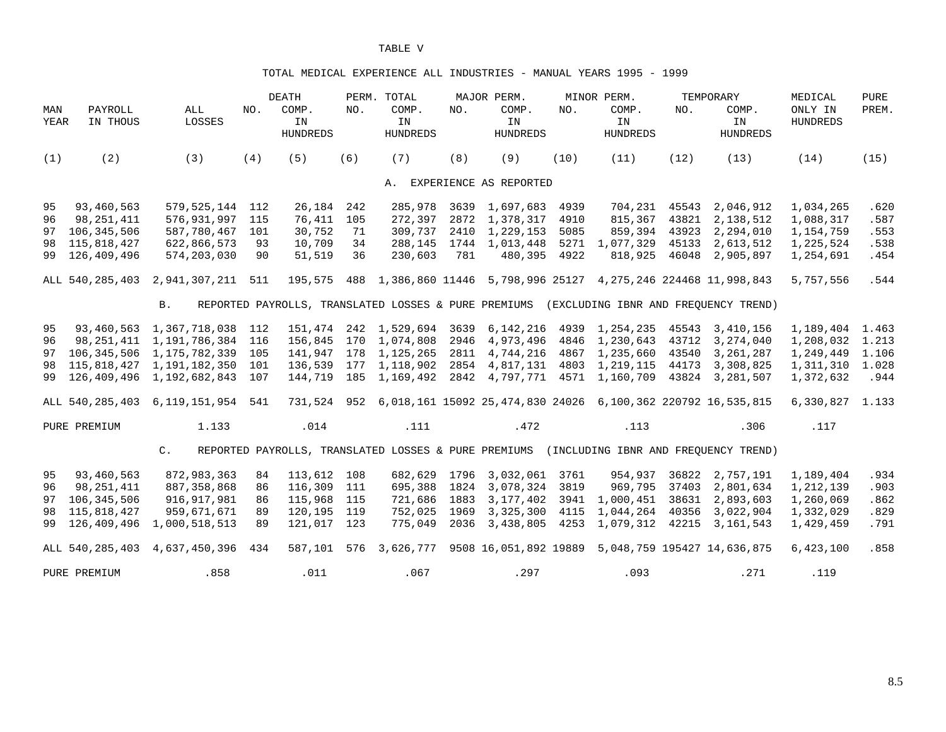#### TOTAL MEDICAL EXPERIENCE ALL INDUSTRIES - MANUAL YEARS 1995 - 1999

|             |                     |                                        |     | <b>DEATH</b>                                         |     | PERM. TOTAL                    |      | MAJOR PERM.                                                             |      | MINOR PERM.                    |       | TEMPORARY                                                                | MEDICAL                    | <b>PURE</b> |
|-------------|---------------------|----------------------------------------|-----|------------------------------------------------------|-----|--------------------------------|------|-------------------------------------------------------------------------|------|--------------------------------|-------|--------------------------------------------------------------------------|----------------------------|-------------|
| MAN<br>YEAR | PAYROLL<br>IN THOUS | ALL<br>LOSSES                          | NO. | COMP.<br>IN<br><b>HUNDREDS</b>                       | NO. | COMP.<br>IN<br><b>HUNDREDS</b> | NO.  | COMP.<br>IN<br><b>HUNDREDS</b>                                          | NO.  | COMP.<br>IN<br><b>HUNDREDS</b> | NO.   | COMP.<br>IN<br><b>HUNDREDS</b>                                           | ONLY IN<br><b>HUNDREDS</b> | PREM.       |
| (1)         | (2)                 | (3)                                    | (4) | (5)                                                  | (6) | (7)                            | (8)  | (9)                                                                     | (10) | (11)                           | (12)  | (13)                                                                     | (14)                       | (15)        |
|             |                     |                                        |     |                                                      |     |                                |      | A. EXPERIENCE AS REPORTED                                               |      |                                |       |                                                                          |                            |             |
| 95          | 93,460,563          | 579, 525, 144 112                      |     | 26,184                                               | 242 | 285,978                        |      | 3639 1,697,683                                                          | 4939 | 704,231                        |       | 45543 2,046,912                                                          | 1,034,265                  | .620        |
| 96          | 98,251,411          | 576,931,997                            | 115 | 76,411                                               | 105 | 272,397                        |      | 2872 1,378,317                                                          | 4910 | 815,367                        | 43821 | 2,138,512                                                                | 1,088,317                  | .587        |
| 97          | 106,345,506         | 587,780,467                            | 101 | 30,752                                               | 71  | 309,737                        | 2410 | 1,229,153                                                               | 5085 | 859,394                        | 43923 | 2,294,010                                                                | 1,154,759                  | .553        |
| 98          | 115,818,427         | 622,866,573                            | 93  | 10,709                                               | 34  | 288,145                        |      | 1744 1,013,448                                                          |      | 5271 1,077,329                 | 45133 | 2,613,512                                                                | 1,225,524                  | .538        |
| 99          | 126,409,496         | 574,203,030                            | 90  | 51,519                                               | 36  | 230,603                        | 781  | 480,395                                                                 | 4922 | 818,925                        | 46048 | 2,905,897                                                                | 1,254,691                  | .454        |
|             |                     | ALL 540, 285, 403 2, 941, 307, 211 511 |     |                                                      |     |                                |      | 195,575 488 1,386,860 11446 5,798,996 25127 4,275,246 224468 11,998,843 |      |                                |       |                                                                          | 5,757,556                  | .544        |
|             |                     | <b>B.</b>                              |     | REPORTED PAYROLLS, TRANSLATED LOSSES & PURE PREMIUMS |     |                                |      |                                                                         |      |                                |       | (EXCLUDING IBNR AND FREOUENCY TREND)                                     |                            |             |
| 95          |                     | 93,460,563 1,367,718,038 112           |     |                                                      |     | 151,474 242 1,529,694          |      | 3639 6,142,216 4939 1,254,235                                           |      |                                |       | 45543 3,410,156                                                          | 1, 189, 404 1.463          |             |
| 96          | 98,251,411          | 1, 191, 786, 384 116                   |     | 156,845                                              |     | 170 1,074,808                  | 2946 | 4,973,496                                                               |      | 4846 1,230,643                 | 43712 | 3,274,040                                                                | 1,208,032                  | 1.213       |
| 97          | 106,345,506         | 1,175,782,339 105                      |     |                                                      |     | 141,947 178 1,125,265          |      | 2811 4,744,216 4867 1,235,660                                           |      |                                |       | 43540 3,261,287                                                          | 1,249,449                  | 1.106       |
| 98          |                     | 115,818,427 1,191,182,350 101          |     |                                                      |     | 136,539 177 1,118,902          |      | 2854 4,817,131 4803 1,219,115 44173 3,308,825                           |      |                                |       |                                                                          | 1,311,310 1.028            |             |
| 99          |                     | 126,409,496 1,192,682,843 107          |     |                                                      |     | 144,719 185 1,169,492          |      | 2842 4,797,771 4571 1,160,709                                           |      |                                | 43824 | 3,281,507                                                                | 1,372,632                  | .944        |
|             |                     | ALL 540, 285, 403 6, 119, 151, 954 541 |     |                                                      |     |                                |      |                                                                         |      |                                |       | 731,524 952 6,018,161 15092 25,474,830 24026 6,100,362 220792 16,535,815 | 6,330,827 1.133            |             |
|             | PURE PREMIUM        | 1.133                                  |     | .014                                                 |     | .111                           |      | .472                                                                    |      | .113                           |       | .306                                                                     | .117                       |             |
|             |                     | $C_{\bullet}$                          |     | REPORTED PAYROLLS, TRANSLATED LOSSES & PURE PREMIUMS |     |                                |      |                                                                         |      |                                |       | (INCLUDING IBNR AND FREOUENCY TREND)                                     |                            |             |
| 95          | 93,460,563          | 872,983,363                            | 84  | 113,612 108                                          |     | 682,629 1796                   |      | 3,032,061 3761                                                          |      | 954,937                        |       | 36822 2,757,191                                                          | 1,189,404                  | .934        |
| 96          | 98,251,411          | 887, 358, 868                          | 86  | 116,309                                              | 111 | 695,388                        |      | 1824 3,078,324 3819                                                     |      | 969,795                        |       | 37403 2,801,634                                                          | 1,212,139                  | .903        |
| 97          | 106,345,506         | 916, 917, 981                          | 86  | 115,968                                              | 115 | 721,686                        | 1883 | 3,177,402 3941                                                          |      | 1,000,451                      | 38631 | 2,893,603                                                                | 1,260,069                  | .862        |
| 98          | 115,818,427         | 959,671,671                            | 89  | 120,195 119                                          |     | 752,025 1969                   |      | 3, 325, 300 4115                                                        |      | 1,044,264                      | 40356 | 3,022,904                                                                | 1,332,029                  | .829        |
| 99          | 126,409,496         | 1,000,518,513                          | 89  | 121,017 123                                          |     | 775,049                        | 2036 | 3,438,805                                                               | 4253 |                                |       | 1,079,312 42215 3,161,543                                                | 1,429,459                  | .791        |
|             | ALL 540,285,403     | 4,637,450,396                          | 434 | 587,101 576                                          |     | 3,626,777                      |      |                                                                         |      |                                |       | 9508 16,051,892 19889 5,048,759 195427 14,636,875                        | 6,423,100                  | .858        |
|             | PURE PREMIUM        | .858                                   |     | .011                                                 |     | .067                           |      | .297                                                                    |      | .093                           |       | .271                                                                     | .119                       |             |

8.5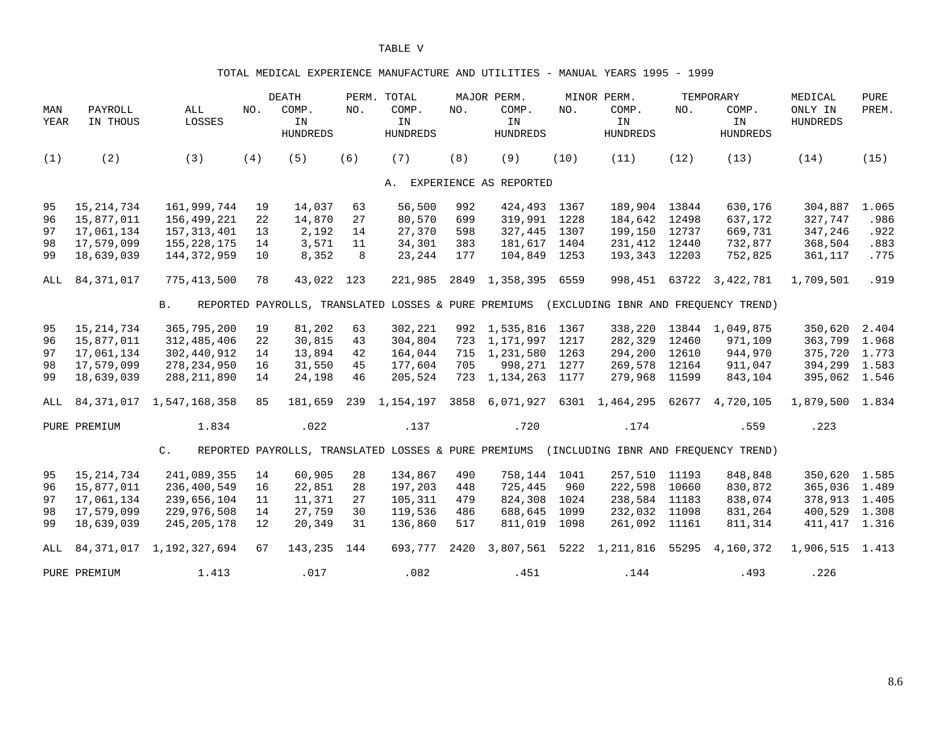#### TOTAL MEDICAL EXPERIENCE MANUFACTURE AND UTILITIES - MANUAL YEARS 1995 - 1999

|             |                     |                               |     | <b>DEATH</b>                   |     | PERM. TOTAL                                          |      | MAJOR PERM.                    |      | MINOR PERM.                          |       | TEMPORARY                      | MEDICAL                    | <b>PURE</b> |
|-------------|---------------------|-------------------------------|-----|--------------------------------|-----|------------------------------------------------------|------|--------------------------------|------|--------------------------------------|-------|--------------------------------|----------------------------|-------------|
| MAN<br>YEAR | PAYROLL<br>IN THOUS | ALL<br>LOSSES                 | NO. | COMP.<br>IN<br><b>HUNDREDS</b> | NO. | COMP.<br>IN<br><b>HUNDREDS</b>                       | NO.  | COMP.<br>IN<br><b>HUNDREDS</b> | NO.  | COMP.<br>IN<br><b>HUNDREDS</b>       | NO.   | COMP.<br>IN<br><b>HUNDREDS</b> | ONLY IN<br><b>HUNDREDS</b> | PREM.       |
| (1)         | (2)                 | (3)                           | (4) | (5)                            | (6) | (7)                                                  | (8)  | (9)                            | (10) | (11)                                 | (12)  | (13)                           | (14)                       | (15)        |
|             |                     |                               |     |                                |     |                                                      |      | A. EXPERIENCE AS REPORTED      |      |                                      |       |                                |                            |             |
| 95          | 15, 214, 734        | 161,999,744                   | 19  | 14,037                         | 63  | 56,500                                               | 992  | 424,493                        | 1367 | 189,904 13844                        |       | 630,176                        | 304,887                    | 1.065       |
| 96          | 15,877,011          | 156,499,221                   | 22  | 14,870                         | 27  | 80,570                                               | 699  | 319,991                        | 1228 | 184,642                              | 12498 | 637,172                        | 327,747                    | .986        |
| 97          | 17,061,134          | 157, 313, 401                 | 13  | 2,192                          | 14  | 27,370                                               | 598  | 327,445                        | 1307 | 199,150                              | 12737 | 669,731                        | 347,246                    | .922        |
| 98          | 17,579,099          | 155, 228, 175                 | 14  | 3,571                          | 11  | 34,301                                               | 383  | 181,617                        | 1404 | 231,412 12440                        |       | 732,877                        | 368,504                    | .883        |
| 99          | 18,639,039          | 144, 372, 959                 | 10  | 8,352                          | 8   | 23,244                                               | 177  | 104,849                        | 1253 | 193,343 12203                        |       | 752,825                        | 361,117                    | .775        |
| ALL         | 84,371,017          | 775,413,500                   | 78  | 43,022 123                     |     | 221,985                                              | 2849 | 1,358,395                      | 6559 |                                      |       | 998, 451 63722 3, 422, 781     | 1,709,501                  | .919        |
|             |                     | <b>B.</b>                     |     |                                |     | REPORTED PAYROLLS, TRANSLATED LOSSES & PURE PREMIUMS |      |                                |      | (EXCLUDING IBNR AND FREQUENCY TREND) |       |                                |                            |             |
| 95          | 15, 214, 734        | 365,795,200                   | 19  | 81,202                         | 63  | 302,221                                              |      | 992 1,535,816                  | 1367 | 338,220                              | 13844 | 1,049,875                      | 350,620                    | 2.404       |
| 96          | 15,877,011          | 312,485,406                   | 22  | 30,815                         | 43  | 304,804                                              | 723  | 1,171,997                      | 1217 | 282,329                              | 12460 | 971,109                        | 363,799                    | 1.968       |
| 97          | 17,061,134          | 302,440,912                   | 14  | 13,894                         | 42  | 164,044                                              | 715  | 1,231,580                      | 1263 | 294,200                              | 12610 | 944,970                        | 375,720 1.773              |             |
| 98          | 17,579,099          | 278, 234, 950                 | 16  | 31,550                         | 45  | 177,604                                              | 705  | 998,271                        | 1277 | 269,578                              | 12164 | 911,047                        | 394,299 1.583              |             |
| 99          | 18,639,039          | 288, 211, 890                 | 14  | 24,198                         | 46  | 205,524                                              | 723  | 1,134,263                      | 1177 | 279,968                              | 11599 | 843,104                        | 395,062 1.546              |             |
| ALL         |                     | 84, 371, 017 1, 547, 168, 358 | 85  | 181,659                        |     | 239 1, 154, 197                                      | 3858 | 6,071,927                      |      | 6301 1,464,295 62677                 |       | 4,720,105                      | 1,879,500 1.834            |             |
|             | PURE PREMIUM        | 1.834                         |     | .022                           |     | .137                                                 |      | .720                           |      | .174                                 |       | .559                           | .223                       |             |
|             |                     | $C$ .                         |     |                                |     | REPORTED PAYROLLS, TRANSLATED LOSSES & PURE PREMIUMS |      |                                |      | (INCLUDING IBNR AND FREQUENCY TREND) |       |                                |                            |             |
| 95          | 15, 214, 734        | 241,089,355                   | 14  | 60,905                         | 28  | 134,867                                              | 490  | 758,144                        | 1041 | 257,510                              | 11193 | 848,848                        | 350,620 1.585              |             |
| 96          | 15,877,011          | 236,400,549                   | 16  | 22,851                         | 28  | 197,203                                              | 448  | 725,445                        | 960  | 222,598                              | 10660 | 830,872                        | 365,036 1.489              |             |
| 97          | 17,061,134          | 239,656,104                   | 11  | 11,371                         | 27  | 105,311                                              | 479  | 824,308                        | 1024 | 238,584                              | 11183 | 838,074                        | 378,913 1.405              |             |
| 98          | 17,579,099          | 229,976,508                   | 14  | 27,759                         | 30  | 119,536                                              | 486  | 688,645                        | 1099 | 232,032                              | 11098 | 831,264                        | 400,529 1.308              |             |
| 99          | 18,639,039          | 245, 205, 178                 | 12  | 20,349                         | 31  | 136,860                                              | 517  | 811,019                        | 1098 | 261,092                              | 11161 | 811,314                        | 411, 417 1.316             |             |
| ALL         | 84, 371, 017        | 1,192,327,694                 | 67  | 143,235                        | 144 | 693,777                                              | 2420 | 3,807,561                      |      | 5222 1,211,816 55295                 |       | 4,160,372                      | 1,906,515 1.413            |             |
|             | PURE PREMIUM        | 1.413                         |     | .017                           |     | .082                                                 |      | .451                           |      | .144                                 |       | .493                           | .226                       |             |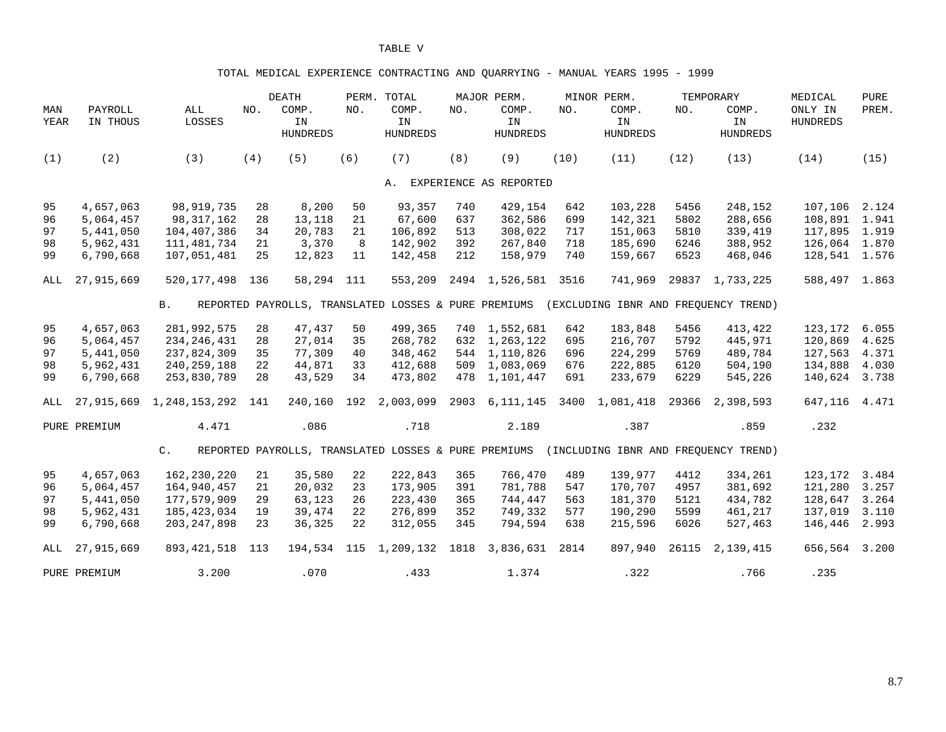### TOTAL MEDICAL EXPERIENCE CONTRACTING AND QUARRYING - MANUAL YEARS 1995 - 1999

|             |                     |                          |     | <b>DEATH</b>                   |     | PERM. TOTAL                                          |      | MAJOR PERM.                    |      | MINOR PERM.                    |       | TEMPORARY                            | MEDICAL                    | <b>PURE</b> |
|-------------|---------------------|--------------------------|-----|--------------------------------|-----|------------------------------------------------------|------|--------------------------------|------|--------------------------------|-------|--------------------------------------|----------------------------|-------------|
| MAN<br>YEAR | PAYROLL<br>IN THOUS | $\mathtt{ALL}$<br>LOSSES | NO. | COMP.<br>IN<br><b>HUNDREDS</b> | NO. | COMP.<br>IN<br><b>HUNDREDS</b>                       | NO.  | COMP.<br>IN<br><b>HUNDREDS</b> | NO.  | COMP.<br>IN<br><b>HUNDREDS</b> | NO.   | COMP.<br>IN<br><b>HUNDREDS</b>       | ONLY IN<br><b>HUNDREDS</b> | PREM.       |
| (1)         | (2)                 | (3)                      | (4) | (5)                            | (6) | (7)                                                  | (8)  | (9)                            | (10) | (11)                           | (12)  | (13)                                 | (14)                       | (15)        |
|             |                     |                          |     |                                |     |                                                      |      | A. EXPERIENCE AS REPORTED      |      |                                |       |                                      |                            |             |
| 95          | 4,657,063           | 98, 919, 735             | 28  | 8,200                          | 50  | 93,357                                               | 740  | 429,154                        | 642  | 103,228                        | 5456  | 248,152                              | 107,106                    | 2.124       |
| 96          | 5,064,457           | 98, 317, 162             | 28  | 13,118                         | 21  | 67,600                                               | 637  | 362,586                        | 699  | 142,321                        | 5802  | 288,656                              | 108,891                    | 1.941       |
| 97          | 5,441,050           | 104,407,386              | 34  | 20,783                         | 21  | 106,892                                              | 513  | 308,022                        | 717  | 151,063                        | 5810  | 339,419                              | 117,895 1.919              |             |
| 98          | 5,962,431           | 111,481,734              | 21  | 3,370                          | 8   | 142,902                                              | 392  | 267,840                        | 718  | 185,690                        | 6246  | 388,952                              | 126,064 1.870              |             |
| 99          | 6,790,668           | 107,051,481              | 25  | 12,823                         | 11  | 142,458                                              | 212  | 158,979                        | 740  | 159,667                        | 6523  | 468,046                              | 128,541 1.576              |             |
| ALL         | 27,915,669          | 520, 177, 498            | 136 | 58,294 111                     |     | 553,209                                              |      | 2494 1,526,581                 | 3516 | 741,969                        | 29837 | 1,733,225                            | 588,497 1.863              |             |
|             |                     | <b>B</b> .               |     |                                |     | REPORTED PAYROLLS, TRANSLATED LOSSES & PURE PREMIUMS |      |                                |      |                                |       | (EXCLUDING IBNR AND FREQUENCY TREND) |                            |             |
| 95          | 4,657,063           | 281,992,575              | 28  | 47,437                         | 50  | 499,365                                              | 740  | 1,552,681                      | 642  | 183,848                        | 5456  | 413,422                              | 123,172                    | 6.055       |
| 96          | 5,064,457           | 234, 246, 431            | 28  | 27,014                         | 35  | 268,782                                              | 632  | 1,263,122                      | 695  | 216,707                        | 5792  | 445,971                              | 120,869                    | 4.625       |
| 97          | 5,441,050           | 237,824,309              | 35  | 77,309                         | 40  | 348,462                                              | 544  | 1,110,826                      | 696  | 224,299                        | 5769  | 489,784                              | 127,563                    | 4.371       |
| 98          | 5,962,431           | 240, 259, 188            | 22  | 44,871                         | 33  | 412,688                                              | 509  | 1,083,069                      | 676  | 222,885                        | 6120  | 504,190                              | 134,888                    | 4.030       |
| 99          | 6,790,668           | 253,830,789              | 28  | 43,529                         | 34  | 473,802                                              | 478  | 1,101,447                      | 691  | 233,679                        | 6229  | 545,226                              | 140,624                    | 3.738       |
| ALL         | 27,915,669          | 1,248,153,292            | 141 | 240,160                        | 192 | 2,003,099                                            | 2903 | 6,111,145                      | 3400 | 1,081,418                      | 29366 | 2,398,593                            | 647,116                    | 4.471       |
|             | PURE PREMIUM        | 4.471                    |     | .086                           |     | .718                                                 |      | 2.189                          |      | .387                           |       | .859                                 | .232                       |             |
|             |                     | $\mathsf{C}$ .           |     |                                |     | REPORTED PAYROLLS, TRANSLATED LOSSES & PURE PREMIUMS |      |                                |      |                                |       | (INCLUDING IBNR AND FREOUENCY TREND) |                            |             |
| 95          | 4,657,063           | 162,230,220              | 21  | 35,580                         | 22  | 222,843                                              | 365  | 766,470                        | 489  | 139,977                        | 4412  | 334,261                              | 123,172                    | 3.484       |
| 96          | 5,064,457           | 164,940,457              | 21  | 20,032                         | 23  | 173,905                                              | 391  | 781,788                        | 547  | 170,707                        | 4957  | 381,692                              | 121,280                    | 3.257       |
| 97          | 5,441,050           | 177,579,909              | 29  | 63,123                         | 26  | 223,430                                              | 365  | 744,447                        | 563  | 181,370                        | 5121  | 434,782                              | 128,647                    | 3.264       |
| 98          | 5,962,431           | 185, 423, 034            | 19  | 39,474                         | 22  | 276,899                                              | 352  | 749,332                        | 577  | 190,290                        | 5599  | 461,217                              | 137,019                    | 3.110       |
| 99          | 6,790,668           | 203, 247, 898            | 23  | 36,325                         | 22  | 312,055                                              | 345  | 794,594                        | 638  | 215,596                        | 6026  | 527,463                              | 146,446                    | 2.993       |
| ALL         | 27,915,669          | 893, 421, 518            | 113 |                                |     | 194,534 115 1,209,132 1818                           |      | 3,836,631                      | 2814 | 897,940                        | 26115 | 2,139,415                            | 656,564                    | 3.200       |
|             | PURE PREMIUM        | 3.200                    |     | .070                           |     | .433                                                 |      | 1.374                          |      | .322                           |       | .766                                 | .235                       |             |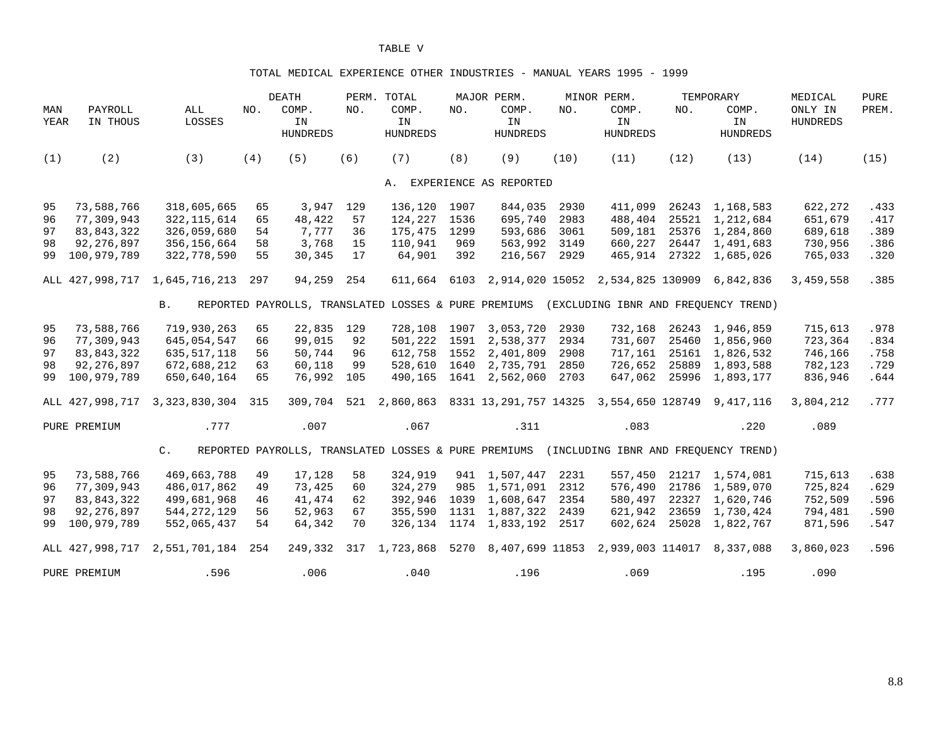#### TOTAL MEDICAL EXPERIENCE OTHER INDUSTRIES - MANUAL YEARS 1995 - 1999

|             |                     |                      |     | <b>DEATH</b>                   |     | PERM. TOTAL                                          |      | MAJOR PERM.                                                                               |      | MINOR PERM.                      |       | TEMPORARY                            | MEDICAL                    | <b>PURE</b> |
|-------------|---------------------|----------------------|-----|--------------------------------|-----|------------------------------------------------------|------|-------------------------------------------------------------------------------------------|------|----------------------------------|-------|--------------------------------------|----------------------------|-------------|
| MAN<br>YEAR | PAYROLL<br>IN THOUS | ALL<br>LOSSES        | NO. | COMP.<br>IN<br><b>HUNDREDS</b> | NO. | COMP.<br>IN<br><b>HUNDREDS</b>                       | NO.  | COMP.<br>IN<br><b>HUNDREDS</b>                                                            | NO.  | COMP.<br>IN<br><b>HUNDREDS</b>   | NO.   | COMP.<br>IN<br><b>HUNDREDS</b>       | ONLY IN<br><b>HUNDREDS</b> | PREM.       |
| (1)         | (2)                 | (3)                  | (4) | (5)                            | (6) | (7)                                                  | (8)  | (9)                                                                                       | (10) | (11)                             | (12)  | (13)                                 | (14)                       | (15)        |
|             |                     |                      |     |                                |     |                                                      |      | A. EXPERIENCE AS REPORTED                                                                 |      |                                  |       |                                      |                            |             |
| 95          | 73,588,766          | 318,605,665          | 65  | 3,947                          | 129 | 136,120                                              | 1907 | 844,035                                                                                   | 2930 | 411,099                          |       | 26243 1,168,583                      | 622,272                    | .433        |
| 96          | 77,309,943          | 322, 115, 614        | 65  | 48,422                         | 57  | 124,227                                              | 1536 | 695,740                                                                                   | 2983 | 488,404                          |       | 25521 1,212,684                      | 651,679                    | .417        |
| 97          | 83,843,322          | 326,059,680          | 54  | 7,777                          | 36  | 175,475                                              | 1299 | 593,686                                                                                   | 3061 | 509,181                          |       | 25376 1,284,860                      | 689,618                    | .389        |
| 98          | 92, 276, 897        | 356, 156, 664        | 58  | 3,768                          | 15  | 110,941                                              | 969  | 563,992                                                                                   | 3149 | 660,227                          |       | 26447 1,491,683                      | 730,956                    | .386        |
| 99          | 100,979,789         | 322,778,590          | 55  | 30,345                         | 17  | 64,901                                               | 392  | 216,567                                                                                   | 2929 | 465,914                          |       | 27322 1,685,026                      | 765,033                    | .320        |
|             | ALL 427,998,717     | 1,645,716,213        | 297 | 94,259                         | 254 | 611,664                                              |      | 6103 2,914,020 15052 2,534,825 130909 6,842,836                                           |      |                                  |       |                                      | 3,459,558                  | .385        |
|             |                     | B.                   |     |                                |     | REPORTED PAYROLLS, TRANSLATED LOSSES & PURE PREMIUMS |      |                                                                                           |      |                                  |       | (EXCLUDING IBNR AND FREOUENCY TREND) |                            |             |
| 95          | 73,588,766          | 719,930,263          | 65  | 22,835                         | 129 | 728,108 1907                                         |      | 3,053,720                                                                                 | 2930 | 732,168                          |       | 26243 1,946,859                      | 715,613                    | .978        |
| 96          | 77,309,943          | 645,054,547          | 66  | 99,015                         | 92  | 501,222 1591                                         |      | 2,538,377                                                                                 | 2934 | 731,607                          |       | 25460 1,856,960                      | 723,364                    | .834        |
| 97          | 83,843,322          | 635, 517, 118        | 56  | 50,744                         | 96  | 612,758                                              | 1552 | 2,401,809                                                                                 | 2908 | 717,161                          |       | 25161 1,826,532                      | 746,166                    | .758        |
| 98          | 92, 276, 897        | 672,688,212          | 63  | 60,118                         | 99  | 528,610                                              | 1640 | 2,735,791                                                                                 | 2850 | 726,652                          |       | 25889 1,893,588                      | 782,123                    | .729        |
| 99          | 100,979,789         | 650,640,164          | 65  | 76,992                         | 105 | 490,165                                              | 1641 | 2,562,060                                                                                 | 2703 | 647,062                          | 25996 | 1,893,177                            | 836,946                    | .644        |
|             | ALL 427,998,717     | 3, 323, 830, 304 315 |     | 309,704                        |     |                                                      |      | 521  2,860,863  8331  13,291,757  14325  3,554,650  128749  9,417,116                     |      |                                  |       |                                      | 3,804,212                  | .777        |
|             | PURE PREMIUM        | .777                 |     | .007                           |     | .067                                                 |      | .311                                                                                      |      | .083                             |       | .220                                 | .089                       |             |
|             |                     | $C$ .                |     |                                |     |                                                      |      | REPORTED PAYROLLS, TRANSLATED LOSSES & PURE PREMIUMS (INCLUDING IBNR AND FREOUENCY TREND) |      |                                  |       |                                      |                            |             |
| 95          | 73,588,766          | 469,663,788          | 49  | 17,128                         | 58  | 324,919                                              |      | 941 1,507,447                                                                             | 2231 | 557,450                          |       | 21217 1,574,081                      | 715,613                    | .638        |
| 96          | 77,309,943          | 486,017,862          | 49  | 73,425                         | 60  | 324,279                                              |      | 985 1,571,091                                                                             | 2312 | 576,490                          |       | 21786 1,589,070                      | 725,824                    | .629        |
| 97          | 83, 843, 322        | 499,681,968          | 46  | 41,474                         | 62  | 392,946                                              |      | 1039 1,608,647                                                                            | 2354 | 580,497                          | 22327 | 1,620,746                            | 752,509                    | .596        |
| 98          | 92, 276, 897        | 544, 272, 129        | 56  | 52,963                         | 67  | 355,590                                              |      | 1131 1,887,322                                                                            | 2439 | 621,942                          |       | 23659 1,730,424                      | 794,481                    | .590        |
| 99          | 100,979,789         | 552,065,437          | 54  | 64,342                         | 70  | 326,134                                              |      | 1174 1,833,192                                                                            | 2517 | 602,624                          | 25028 | 1,822,767                            | 871,596                    | .547        |
|             | ALL 427,998,717     | 2,551,701,184        | 254 | 249,332                        |     | 317 1,723,868                                        | 5270 |                                                                                           |      | 8,407,699 11853 2,939,003 114017 |       | 8,337,088                            | 3,860,023                  | .596        |
|             | PURE PREMIUM        | .596                 |     | .006                           |     | .040                                                 |      | .196                                                                                      |      | .069                             |       | .195                                 | .090                       |             |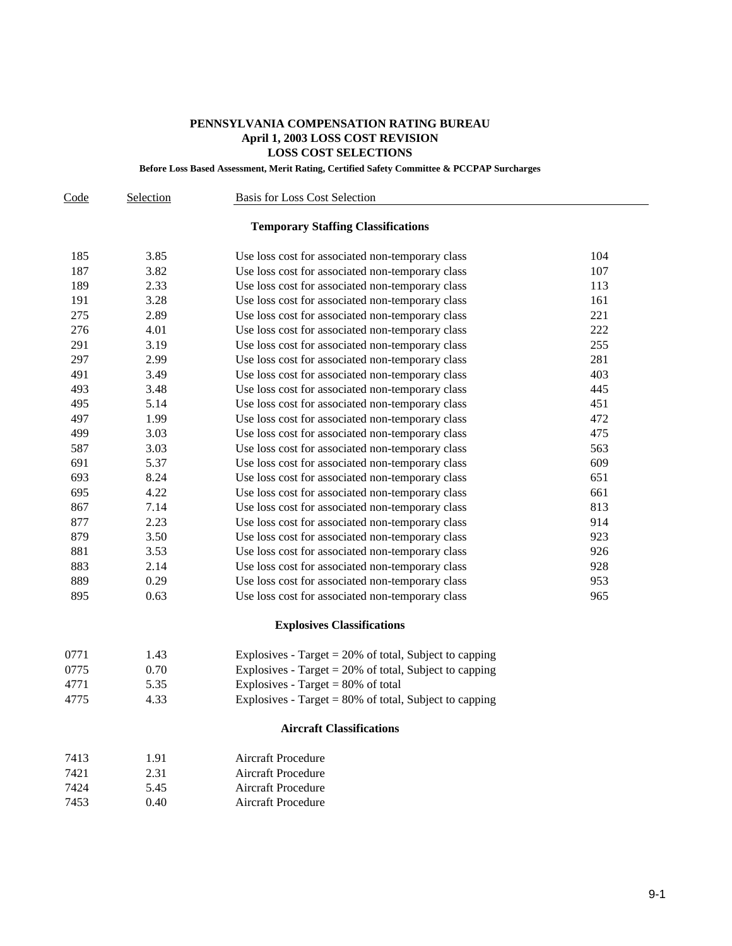# **PENNSYLVANIA COMPENSATION RATING BUREAU April 1, 2003 LOSS COST REVISION LOSS COST SELECTIONS**

**Before Loss Based Assessment, Merit Rating, Certified Safety Committee & PCCPAP Surcharges**

| Code | Selection | <b>Basis for Loss Cost Selection</b>                      |     |
|------|-----------|-----------------------------------------------------------|-----|
|      |           | <b>Temporary Staffing Classifications</b>                 |     |
| 185  | 3.85      | Use loss cost for associated non-temporary class          | 104 |
| 187  | 3.82      | Use loss cost for associated non-temporary class          | 107 |
| 189  | 2.33      | Use loss cost for associated non-temporary class          | 113 |
| 191  | 3.28      | Use loss cost for associated non-temporary class          | 161 |
| 275  | 2.89      | Use loss cost for associated non-temporary class          | 221 |
| 276  | 4.01      | Use loss cost for associated non-temporary class          | 222 |
| 291  | 3.19      | Use loss cost for associated non-temporary class          | 255 |
| 297  | 2.99      | Use loss cost for associated non-temporary class          | 281 |
| 491  | 3.49      | Use loss cost for associated non-temporary class          | 403 |
| 493  | 3.48      | Use loss cost for associated non-temporary class          | 445 |
| 495  | 5.14      | Use loss cost for associated non-temporary class          | 451 |
| 497  | 1.99      | Use loss cost for associated non-temporary class          | 472 |
| 499  | 3.03      | Use loss cost for associated non-temporary class          | 475 |
| 587  | 3.03      | Use loss cost for associated non-temporary class          | 563 |
| 691  | 5.37      | Use loss cost for associated non-temporary class          | 609 |
| 693  | 8.24      | Use loss cost for associated non-temporary class          | 651 |
| 695  | 4.22      | Use loss cost for associated non-temporary class          | 661 |
| 867  | 7.14      | Use loss cost for associated non-temporary class          | 813 |
| 877  | 2.23      | Use loss cost for associated non-temporary class          | 914 |
| 879  | 3.50      | Use loss cost for associated non-temporary class          | 923 |
| 881  | 3.53      | Use loss cost for associated non-temporary class          | 926 |
| 883  | 2.14      | Use loss cost for associated non-temporary class          | 928 |
| 889  | 0.29      | Use loss cost for associated non-temporary class          | 953 |
| 895  | 0.63      | Use loss cost for associated non-temporary class          | 965 |
|      |           | <b>Explosives Classifications</b>                         |     |
| 0771 | 1.43      | Explosives - Target $= 20\%$ of total, Subject to capping |     |
| 0775 | 0.70      | Explosives - Target $= 20\%$ of total, Subject to capping |     |
| 4771 | 5.35      | Explosives - Target = $80\%$ of total                     |     |
| 4775 | 4.33      | Explosives - Target = $80\%$ of total, Subject to capping |     |
|      |           | <b>Aircraft Classifications</b>                           |     |
| 7413 | 1.91      | <b>Aircraft Procedure</b>                                 |     |
| 7421 | 2.31      | <b>Aircraft Procedure</b>                                 |     |

| 74 Z I | 2.51 | Alleiait Flocedule        |
|--------|------|---------------------------|
| 7424   | 5.45 | <b>Aircraft Procedure</b> |

7453 0.40 Aircraft Procedure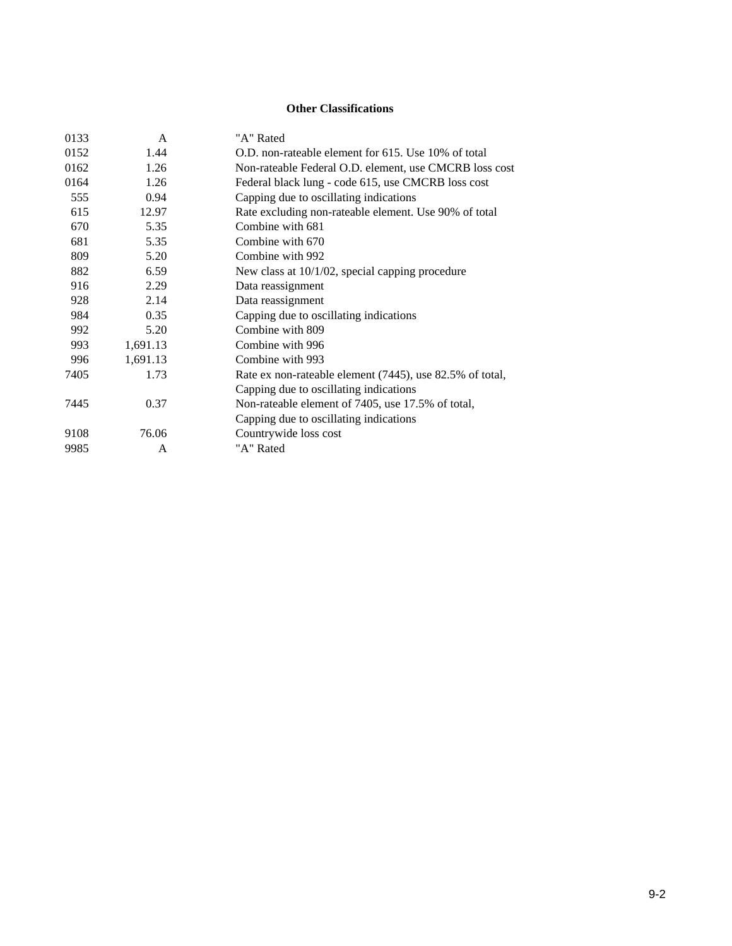# **Other Classifications**

| 0133 | A        | "A" Rated                                                |
|------|----------|----------------------------------------------------------|
| 0152 | 1.44     | O.D. non-rateable element for 615. Use 10% of total      |
| 0162 | 1.26     | Non-rateable Federal O.D. element, use CMCRB loss cost   |
| 0164 | 1.26     | Federal black lung - code 615, use CMCRB loss cost       |
| 555  | 0.94     | Capping due to oscillating indications                   |
| 615  | 12.97    | Rate excluding non-rateable element. Use 90% of total    |
| 670  | 5.35     | Combine with 681                                         |
| 681  | 5.35     | Combine with 670                                         |
| 809  | 5.20     | Combine with 992                                         |
| 882  | 6.59     | New class at 10/1/02, special capping procedure          |
| 916  | 2.29     | Data reassignment                                        |
| 928  | 2.14     | Data reassignment                                        |
| 984  | 0.35     | Capping due to oscillating indications                   |
| 992  | 5.20     | Combine with 809                                         |
| 993  | 1,691.13 | Combine with 996                                         |
| 996  | 1,691.13 | Combine with 993                                         |
| 7405 | 1.73     | Rate ex non-rateable element (7445), use 82.5% of total, |
|      |          | Capping due to oscillating indications                   |
| 7445 | 0.37     | Non-rateable element of 7405, use 17.5% of total,        |
|      |          | Capping due to oscillating indications                   |
| 9108 | 76.06    | Countrywide loss cost                                    |
| 9985 | A        | "A" Rated                                                |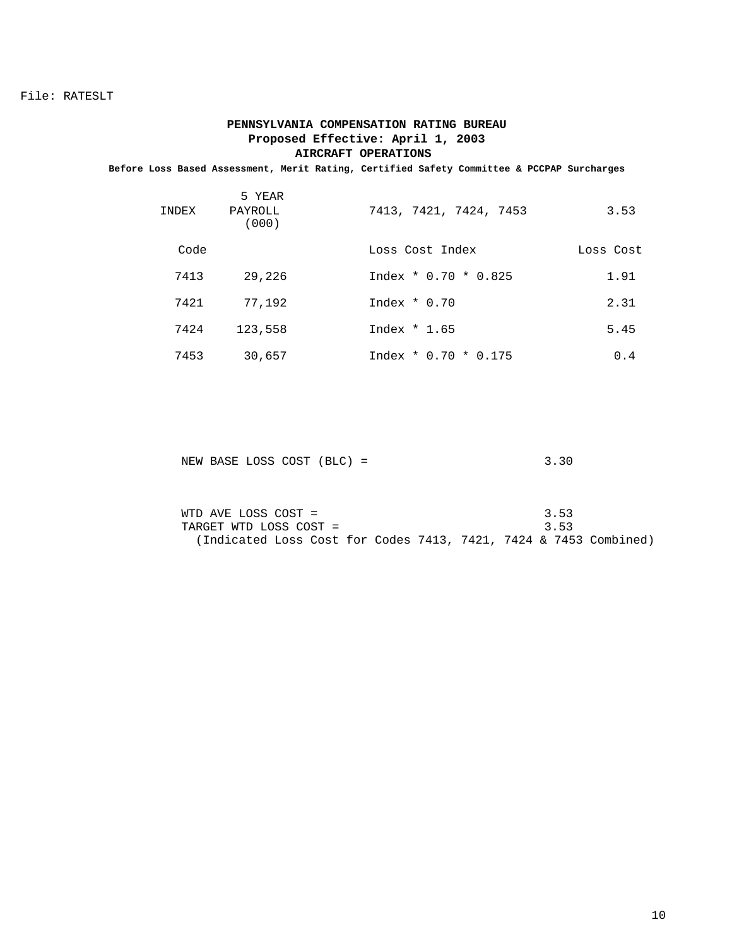## **PENNSYLVANIA COMPENSATION RATING BUREAU Proposed Effective: April 1, 2003 AIRCRAFT OPERATIONS**

**Before Loss Based Assessment, Merit Rating, Certified Safety Committee & PCCPAP Surcharges**

| INDEX | 5 YEAR<br>PAYROLL<br>(000) | 7413, 7421, 7424, 7453 | 3.53      |
|-------|----------------------------|------------------------|-----------|
| Code  |                            | Loss Cost Index        | Loss Cost |
| 7413  | 29,226                     | $Index * 0.70 * 0.825$ | 1.91      |
| 7421  | 77,192                     | Index $*$ 0.70         | 2.31      |
| 7424  | 123,558                    | Index $*1.65$          | 5.45      |
| 7453  | 30,657                     | $Index * 0.70 * 0.175$ | 0.4       |

| NEW BASE LOSS COST (BLC) = | 3.30 |
|----------------------------|------|
|----------------------------|------|

| WTD AVE LOSS COST =                                              |  |  |  | 3.53 |  |
|------------------------------------------------------------------|--|--|--|------|--|
| TARGET WTD LOSS COST =                                           |  |  |  | 3.53 |  |
| (Indicated Loss Cost for Codes 7413, 7421, 7424 & 7453 Combined) |  |  |  |      |  |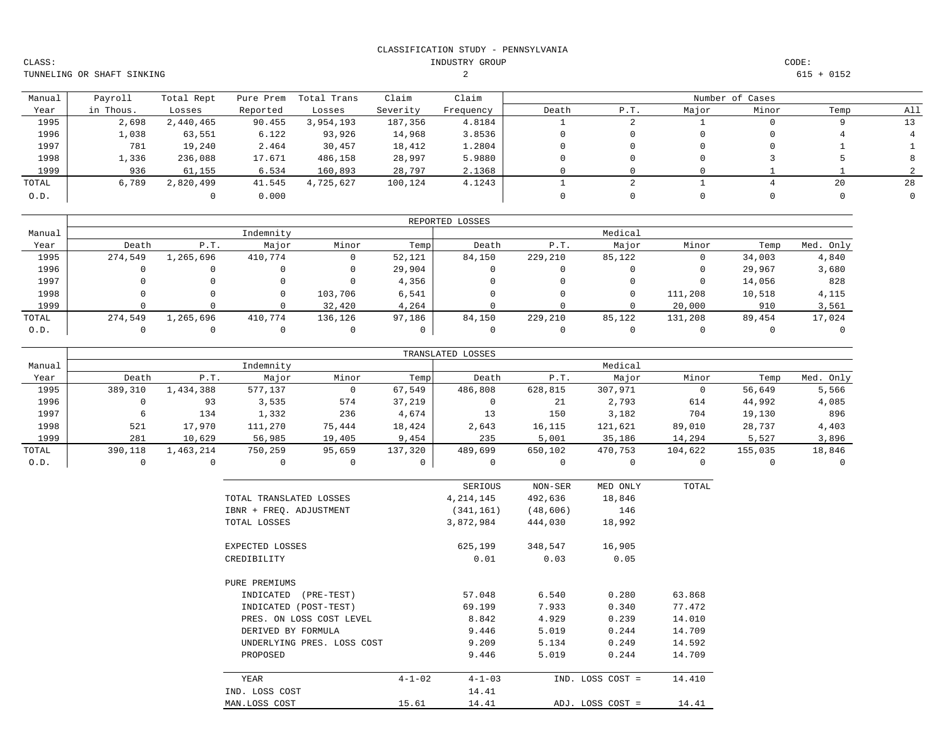INDUSTRY GROUP CODE:

TUNNELING OR SHAFT SINKING

CLASS:

 $2$  615 + 0152

| Manual | Payroll   | Total Rept | Pure Prem | Total Trans | Claim    | Claim     |       |     |       | Number of Cases |      |     |
|--------|-----------|------------|-----------|-------------|----------|-----------|-------|-----|-------|-----------------|------|-----|
| Year   | in Thous. | Losses     | Reported  | Losses      | Severity | Frequency | Death | P.T | Major | Minor           | Temp | All |
| 1995   | 2,698     | 2,440,465  | 90.455    | 3,954,193   | 187,356  | 4.8184    |       |     |       |                 |      |     |
| 1996   | 1,038     | 63,551     | 6.122     | 93,926      | 14,968   | 3.8536    |       |     |       |                 |      |     |
| 1997   | 781       | 19,240     | 2.464     | 30,457      | 18,412   | 1.2804    |       |     |       |                 |      |     |
| 1998   | 1,336     | 236,088    | 17.671    | 486,158     | 28,997   | 5.9880    |       |     |       |                 |      |     |
| 1999   | 936       | 61,155     | 6.534     | 160,893     | 28,797   | 2.1368    |       |     |       |                 |      |     |
| TOTAL  | 6,789     | 2,820,499  | 41.545    | 4,725,627   | 100,124  | 4.1243    |       |     |       |                 | 20   | 28  |
| 0.D.   |           |            | 0.000     |             |          |           |       |     |       |                 |      |     |

|        |         |           |           |          |        | REPORTED LOSSES |         |         |         |        |           |
|--------|---------|-----------|-----------|----------|--------|-----------------|---------|---------|---------|--------|-----------|
| Manual |         |           | Indemnity |          |        |                 |         | Medical |         |        |           |
| Year   | Death   | P.T.      | Major     | Minor    | Temp   | Death           | P.T.    | Major   | Minor   | Temp   | Med. Only |
| 1995   | 274,549 | 1,265,696 | 410,774   |          | 52,121 | 84,150          | 229,210 | 85,122  |         | 34,003 | 4,840     |
| 1996   |         |           |           | 0        | 29,904 |                 |         |         |         | 29,967 | 3,680     |
| 1997   |         |           |           | $\Omega$ | 4,356  |                 |         |         |         | 14,056 | 828       |
| 1998   |         |           |           | 103,706  | 6,541  |                 |         |         | 111,208 | 10,518 | 4,115     |
| 1999   |         |           |           | 32,420   | 4,264  |                 |         |         | 20,000  | 910    | 3,561     |
| TOTAL  | 274,549 | 1,265,696 | 410,774   | 136,126  | 97,186 | 84,150          | 229,210 | 85,122  | 131,208 | 89,454 | 17,024    |
| 0.D.   |         |           |           |          |        |                 |         |         |         |        |           |

|        |         |           |           |        |         | TRANSLATED LOSSES |         |         |         |         |           |
|--------|---------|-----------|-----------|--------|---------|-------------------|---------|---------|---------|---------|-----------|
| Manual |         |           | Indemnity |        |         |                   |         | Medical |         |         |           |
| Year   | Death   | P.T.      | Major     | Minor  | Temp    | Death             | P.T.    | Major   | Minor   | Temp    | Med. Only |
| 1995   | 389,310 | 1,434,388 | 577,137   |        | 67,549  | 486,808           | 628,815 | 307,971 |         | 56,649  | 5,566     |
| 1996   |         | 93        | 3,535     | 574    | 37,219  | 0                 | 21      | 2,793   | 614     | 44,992  | 4,085     |
| 1997   |         | 134       | 1,332     | 236    | 4,674   | 13                | 150     | 3,182   | 704     | 19,130  | 896       |
| 1998   | 521     | 17,970    | 111,270   | 75,444 | 18,424  | 2,643             | 16,115  | 121,621 | 89,010  | 28,737  | 4,403     |
| 1999   | 281     | 10,629    | 56,985    | 19,405 | 9,454   | 235               | 5,001   | 35,186  | 14,294  | 5,527   | 3,896     |
| TOTAL  | 390,118 | 1,463,214 | 750,259   | 95,659 | 137,320 | 489,699           | 650,102 | 470,753 | 104,622 | 155,035 | 18,846    |
| 0.D.   |         |           |           |        |         |                   |         |         |         |         |           |

|                            |              | SERIOUS      | NON-SER   | MED ONLY         | TOTAL  |
|----------------------------|--------------|--------------|-----------|------------------|--------|
| TOTAL TRANSLATED LOSSES    |              | 4,214,145    | 492,636   | 18,846           |        |
| IBNR + FREQ. ADJUSTMENT    |              | (341, 161)   | (48, 606) | 146              |        |
| TOTAL LOSSES               |              | 3,872,984    | 444,030   | 18,992           |        |
| EXPECTED LOSSES            |              | 625,199      | 348,547   | 16,905           |        |
| CREDIBILITY                |              | 0.01         | 0.03      | 0.05             |        |
| PURE PREMIUMS              |              |              |           |                  |        |
| INDICATED<br>$(PRE-TEST)$  |              | 57.048       | 6.540     | 0.280            | 63.868 |
| INDICATED (POST-TEST)      |              | 69.199       | 7.933     | 0.340            | 77.472 |
| PRES. ON LOSS COST LEVEL   |              | 8.842        | 4.929     | 0.239            | 14.010 |
| DERIVED BY FORMULA         |              | 9.446        | 5.019     | 0.244            | 14.709 |
| UNDERLYING PRES. LOSS COST |              | 9.209        | 5.134     | 0.249            | 14.592 |
| PROPOSED                   |              | 9.446        | 5.019     | 0.244            | 14.709 |
| YEAR                       | $4 - 1 - 02$ | $4 - 1 - 03$ |           | IND. LOSS COST = | 14.410 |
| IND. LOSS COST             |              | 14.41        |           |                  |        |
| MAN.LOSS COST              | 15.61        | 14.41        |           | ADJ. LOSS COST = | 14.41  |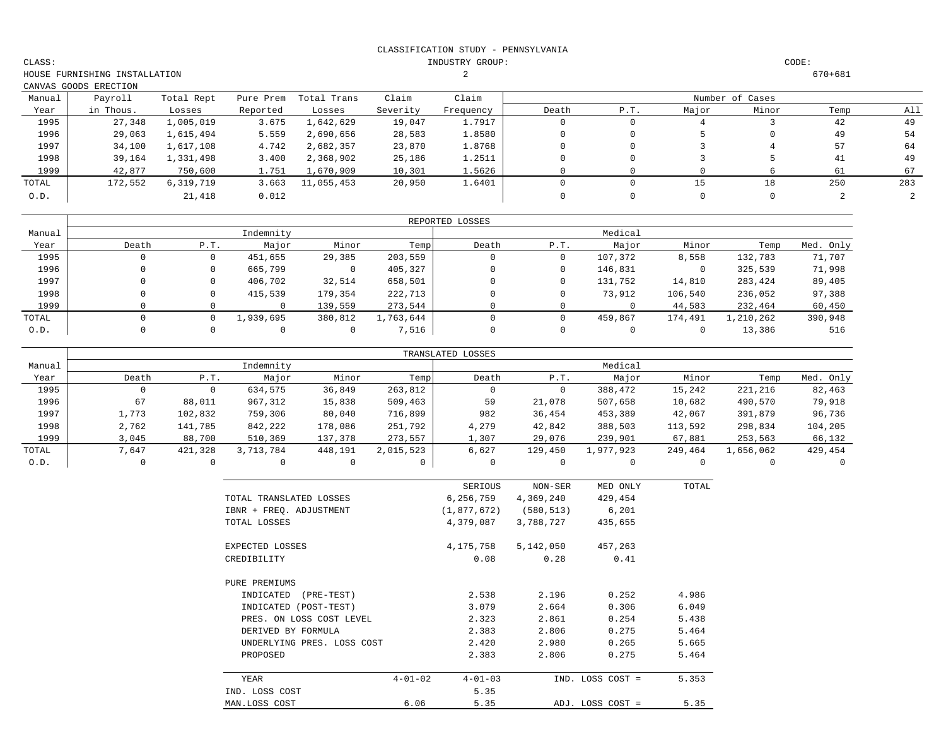INDUSTRY GROUP: CODE:

CLASS:

|        | CANVAS GOODS ERECTION |            |           |             |          |           |       |      |       |                 |      |     |
|--------|-----------------------|------------|-----------|-------------|----------|-----------|-------|------|-------|-----------------|------|-----|
| Manual | Payroll               | Total Rept | Pure Prem | Total Trans | Claim    | Claim     |       |      |       | Number of Cases |      |     |
| Year   | in Thous.             | Losses     | Reported  | Losses      | Severity | Frequency | Death | P.T. | Major | Minor           | Temp | All |
| 1995   | 27,348                | l,005,019  | 3.675     | 1,642,629   | 19,047   | 1.7917    |       |      | 4     |                 | 42   | 49  |
| 1996   | 29,063                | 1,615,494  | 5.559     | 2,690,656   | 28,583   | 1.8580    |       |      |       |                 | 49   | 54  |
| 1997   | 34,100                | 1,617,108  | 4.742     | 2,682,357   | 23,870   | 1.8768    |       |      |       |                 | 57   | 64  |
| 1998   | 39,164                | 1,331,498  | 3.400     | 2,368,902   | 25,186   | 1.2511    |       |      |       |                 | 41   | 49  |
| 1999   | 42,877                | 750,600    | 1.751     | 1,670,909   | 10,301   | 1.5626    |       |      |       |                 | 61   | 67  |
| TOTAL  | 172,552               | 6,319,719  | 3.663     | 11,055,453  | 20,950   | 1.6401    |       |      | 15    | 18              | 250  | 283 |
| 0.D.   |                       | 21,418     | 0.012     |             |          |           |       |      | 0     |                 |      |     |

|        |       |          |           |         |           | REPORTED LOSSES |      |         |         |           |           |
|--------|-------|----------|-----------|---------|-----------|-----------------|------|---------|---------|-----------|-----------|
| Manual |       |          | Indemnity |         |           |                 |      | Medical |         |           |           |
| Year   | Death | P.T.     | Major     | Minor   | Temp      | Death           | P.T. | Major   | Minor   | Temp      | Med. Only |
| 1995   |       |          | 451,655   | 29,385  | 203,559   |                 |      | 107,372 | 8,558   | 132,783   | 71,707    |
| 1996   |       |          | 665,799   | 0       | 405,327   |                 |      | 146,831 |         | 325,539   | 71,998    |
| 1997   |       |          | 406,702   | 32,514  | 658,501   |                 |      | 131,752 | 14,810  | 283,424   | 89,405    |
| 1998   |       |          | 415,539   | 179,354 | 222,713   | 0               |      | 73,912  | 106,540 | 236,052   | 97,388    |
| 1999   |       |          |           | 139,559 | 273,544   |                 |      |         | 44,583  | 232,464   | 60,450    |
| TOTAL  |       | $\Omega$ | 1,939,695 | 380,812 | 1,763,644 |                 |      | 459,867 | 174,491 | 1,210,262 | 390,948   |
| 0.D.   |       |          |           |         | 7,516     |                 |      |         |         | 13,386    | 516       |

|        |       |         |           |         |           | TRANSLATED LOSSES |         |           |         |           |           |
|--------|-------|---------|-----------|---------|-----------|-------------------|---------|-----------|---------|-----------|-----------|
| Manual |       |         | Indemnity |         |           |                   |         | Medical   |         |           |           |
| Year   | Death | P.T.    | Major     | Minor   | Temp      | Death             | P.T.    | Major     | Minor   | Temp      | Med. Only |
| 1995   |       | 0       | 634,575   | 36,849  | 263,812   | 0                 |         | 388,472   | 15,242  | 221,216   | 82,463    |
| 1996   | 67    | 88,011  | 967,312   | 15,838  | 509,463   | 59                | 21,078  | 507,658   | 10,682  | 490,570   | 79,918    |
| 1997   | 1,773 | 102,832 | 759,306   | 80,040  | 716,899   | 982               | 36,454  | 453,389   | 42,067  | 391,879   | 96,736    |
| 1998   | 2,762 | 141,785 | 842,222   | 178,086 | 251,792   | 4,279             | 42,842  | 388,503   | 113,592 | 298,834   | 104,205   |
| 1999   | 3,045 | 88,700  | 510,369   | 137,378 | 273,557   | 1,307             | 29,076  | 239,901   | 67,881  | 253,563   | 66,132    |
| TOTAL  | 7,647 | 421,328 | 3,713,784 | 448,191 | 2,015,523 | 6,627             | 129,450 | 1,977,923 | 249,464 | 1,656,062 | 429,454   |
| 0.D.   |       |         |           |         |           |                   |         |           |         |           |           |

|                            |               | SERIOUS       | NON-SER    | MED ONLY         | TOTAL |
|----------------------------|---------------|---------------|------------|------------------|-------|
| TOTAL TRANSLATED LOSSES    |               | 6,256,759     | 4,369,240  | 429,454          |       |
| IBNR + FREQ. ADJUSTMENT    |               | (1,877,672)   | (580, 513) | 6,201            |       |
| TOTAL LOSSES               |               | 4,379,087     | 3,788,727  | 435,655          |       |
| EXPECTED LOSSES            |               | 4,175,758     | 5,142,050  | 457,263          |       |
| CREDIBILITY                |               | 0.08          | 0.28       | 0.41             |       |
| PURE PREMIUMS              |               |               |            |                  |       |
| INDICATED<br>$(PRE-TEST)$  |               | 2.538         | 2.196      | 0.252            | 4.986 |
| INDICATED (POST-TEST)      |               | 3.079         | 2.664      | 0.306            | 6.049 |
| PRES. ON LOSS COST LEVEL   |               | 2.323         | 2.861      | 0.254            | 5.438 |
| DERIVED BY FORMULA         |               | 2.383         | 2.806      | 0.275            | 5.464 |
| UNDERLYING PRES. LOSS COST |               | 2.420         | 2.980      | 0.265            | 5.665 |
| PROPOSED                   |               | 2.383         | 2.806      | 0.275            | 5.464 |
| YEAR                       | $4 - 01 - 02$ | $4 - 01 - 03$ |            | IND. LOSS COST = | 5.353 |
| IND. LOSS COST             |               | 5.35          |            |                  |       |
| MAN.LOSS COST              | 6.06          | 5.35          |            | ADJ. LOSS COST = | 5.35  |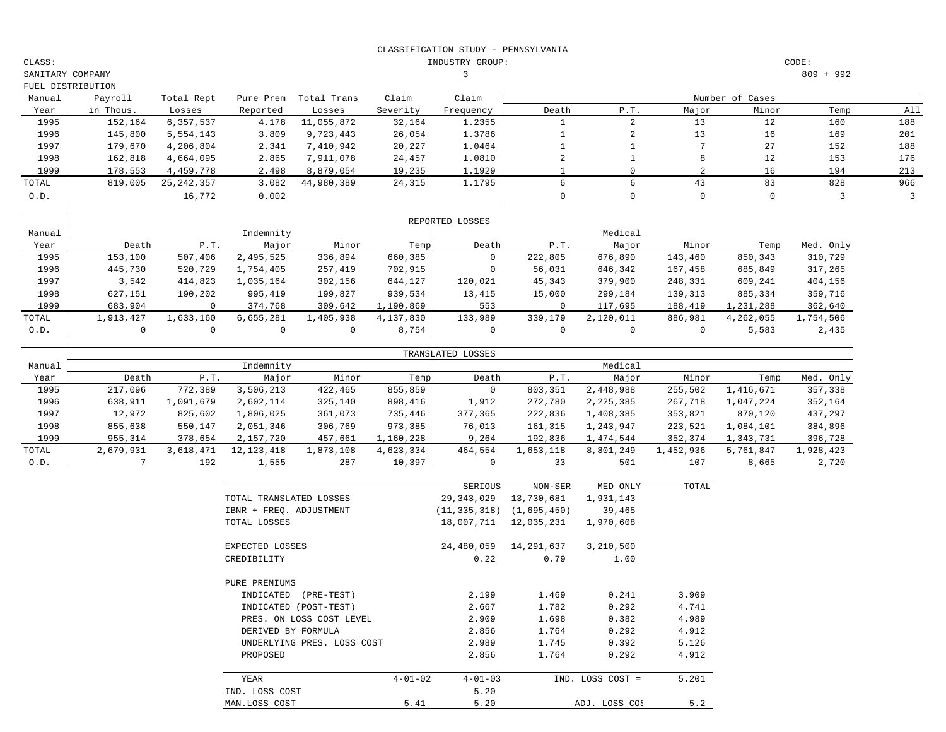INDUSTRY GROUP: CODE:

3 809 + 992

|        | FUEL DISTRIBUTION |              |           |             |          |           |       |      |       |                 |      |     |
|--------|-------------------|--------------|-----------|-------------|----------|-----------|-------|------|-------|-----------------|------|-----|
| Manual | Payroll           | Total Rept   | Pure Prem | Total Trans | Claim    | Claim     |       |      |       | Number of Cases |      |     |
| Year   | in Thous.         | Losses       | Reported  | Losses      | Severity | Frequency | Death | P.T. | Major | Minor           | Temp | All |
| 1995   | 152,164           | 6,357,537    | 4.178     | 11,055,872  | 32,164   | 1.2355    |       |      | 13    | 12              | 160  | 188 |
| 1996   | 145,800           | 5,554,143    | 3.809     | 9,723,443   | 26,054   | 1.3786    |       |      | 13    | 16              | 169  | 201 |
| 1997   | 179,670           | 4,206,804    | 2.341     | 7,410,942   | 20,227   | 1.0464    |       |      |       | 27              | 152  | 188 |
| 1998   | 162,818           | 4,664,095    | 2.865     | 7,911,078   | 24,457   | 1.0810    |       |      |       | 12              | 153  | 176 |
| 1999   | 178,553           | 4,459,778    | 2.498     | 8,879,054   | 19,235   | 1.1929    |       |      |       | 16              | 194  | 213 |
| TOTAL  | 819,005           | 25, 242, 357 | 3.082     | 44,980,389  | 24,315   | 1.1795    |       |      | 43    | 83              | 828  | 966 |
| 0.D.   |                   | 16,772       | 0.002     |             |          |           |       |      | 0     |                 |      |     |

|        |           |           |           |           |           | REPORTED LOSSES |          |           |         |           |           |
|--------|-----------|-----------|-----------|-----------|-----------|-----------------|----------|-----------|---------|-----------|-----------|
| Manual |           |           | Indemnity |           |           |                 |          | Medical   |         |           |           |
| Year   | Death     | P.T.      | Major     | Minor     | Temp      | Death           | P.T.     | Major     | Minor   | Temp      | Med. Only |
| 1995   | 153,100   | 507,406   | 2,495,525 | 336,894   | 660,385   | 0               | 222,805  | 676,890   | 143,460 | 850,343   | 310,729   |
| 1996   | 445,730   | 520,729   | 1,754,405 | 257,419   | 702,915   | 0               | 56,031   | 646,342   | 167,458 | 685,849   | 317,265   |
| 1997   | 3,542     | 414,823   | 1,035,164 | 302,156   | 644,127   | 120,021         | 45,343   | 379,900   | 248,331 | 609,241   | 404,156   |
| 1998   | 627,151   | 190,202   | 995,419   | 199,827   | 939,534   | 13,415          | 15,000   | 299,184   | 139,313 | 885,334   | 359,716   |
| 1999   | 683,904   |           | 374,768   | 309,642   | 1,190,869 | 553             |          | 117,695   | 188,419 | 1,231,288 | 362,640   |
| TOTAL  | 1,913,427 | 1,633,160 | 6,655,281 | 1,405,938 | 4,137,830 | 133,989         | 339,179  | 2,120,011 | 886,981 | 4,262,055 | 1,754,506 |
| 0.D.   |           |           |           |           | 8,754     | 0               | $\Omega$ |           |         | 5,583     | 2,435     |

|        |           |           |            |           |           | TRANSLATED LOSSES |           |           |           |           |           |
|--------|-----------|-----------|------------|-----------|-----------|-------------------|-----------|-----------|-----------|-----------|-----------|
| Manual |           |           | Indemnity  |           |           |                   |           | Medical   |           |           |           |
| Year   | Death     | P.T.      | Major      | Minor     | Temp      | Death             | P.T.      | Major     | Minor     | Temp      | Med. Only |
| 1995   | 217,096   | 772,389   | 3,506,213  | 422,465   | 855,859   | 0                 | 803,351   | 2,448,988 | 255,502   | 1,416,671 | 357,338   |
| 1996   | 638,911   | 1,091,679 | 2,602,114  | 325,140   | 898,416   | 1,912             | 272,780   | 2,225,385 | 267,718   | .,047,224 | 352,164   |
| 1997   | 12,972    | 825,602   | 1,806,025  | 361,073   | 735,446   | 377,365           | 222,836   | 1,408,385 | 353,821   | 870,120   | 437,297   |
| 1998   | 855,638   | 550,147   | 2,051,346  | 306,769   | 973,385   | 76,013            | 161,315   | 1,243,947 | 223,521   | 1,084,101 | 384,896   |
| 1999   | 955,314   | 378,654   | 2,157,720  | 457,661   | 1,160,228 | 9,264             | 192,836   | 1,474,544 | 352,374   | 1,343,731 | 396,728   |
| TOTAL  | 2,679,931 | 3,618,471 | 12,123,418 | 1,873,108 | 4,623,334 | 464,554           | 1,653,118 | 8,801,249 | 1,452,936 | 5,761,847 | 1,928,423 |
| 0.D.   |           | 192       | 1,555      | 287       | 10,397    |                   | 33        | 501       | 107       | 8,665     | 2,720     |

|                            |               | SERIOUS        | NON-SER     | MED ONLY         | TOTAL |
|----------------------------|---------------|----------------|-------------|------------------|-------|
| TOTAL TRANSLATED LOSSES    |               | 29,343,029     | 13,730,681  | 1,931,143        |       |
| IBNR + FREQ. ADJUSTMENT    |               | (11, 335, 318) | (1,695,450) | 39,465           |       |
| TOTAL LOSSES               |               | 18,007,711     | 12,035,231  | 1,970,608        |       |
| EXPECTED LOSSES            |               | 24,480,059     | 14,291,637  | 3,210,500        |       |
| CREDIBILITY                |               | 0.22           | 0.79        | 1.00             |       |
| PURE PREMIUMS              |               |                |             |                  |       |
| INDICATED<br>$(PRE-TEST)$  |               | 2.199          | 1.469       | 0.241            | 3.909 |
| INDICATED (POST-TEST)      |               | 2.667          | 1.782       | 0.292            | 4.741 |
| PRES. ON LOSS COST LEVEL   |               | 2.909          | 1.698       | 0.382            | 4.989 |
| DERIVED BY FORMULA         |               | 2.856          | 1.764       | 0.292            | 4.912 |
| UNDERLYING PRES. LOSS COST |               | 2.989          | 1.745       | 0.392            | 5.126 |
| PROPOSED                   |               | 2.856          | 1.764       | 0.292            | 4.912 |
| YEAR                       | $4 - 01 - 02$ | $4 - 01 - 03$  |             | IND. LOSS COST = | 5.201 |
| IND. LOSS COST             |               | 5.20           |             |                  |       |
| MAN.LOSS COST              | 5.41          | 5.20           |             | ADJ. LOSS COS    | 5.2   |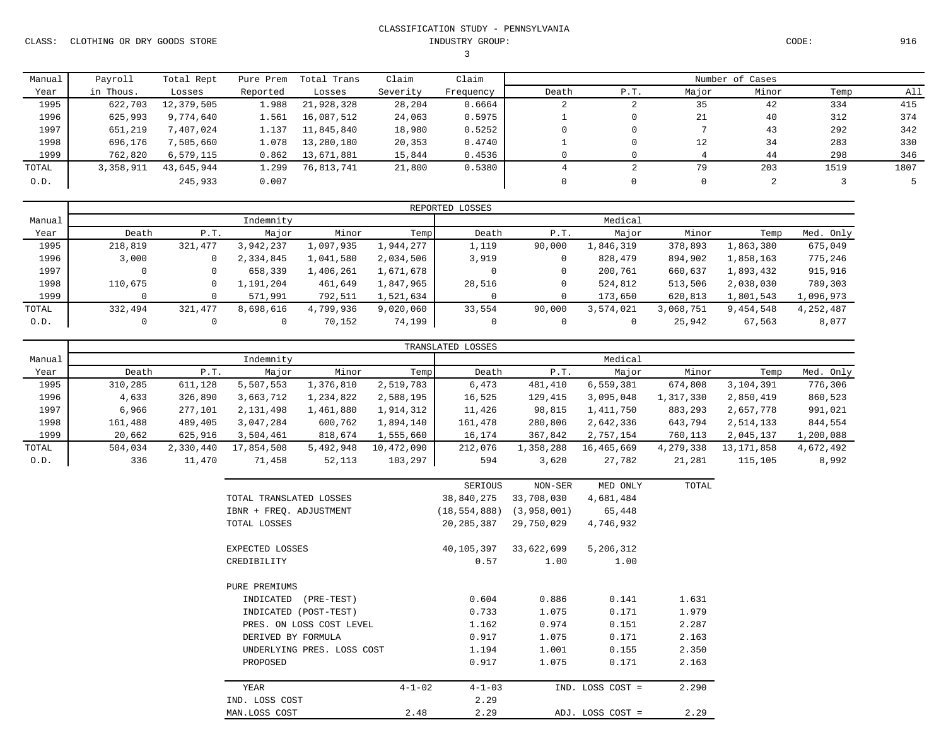CLASS: CLOTHING OR DRY GOODS STORE INDUSTRY GROUP: CODE: 916

# 3

| CODE : |  |
|--------|--|
|--------|--|

| Manual | Payroll   | Total Rept | Pure Prem | Total Trans | Claim    | Claim     | Number of Cases |      |       |       |      |      |
|--------|-----------|------------|-----------|-------------|----------|-----------|-----------------|------|-------|-------|------|------|
| Year   | in Thous. | Losses     | Reported  | Losses      | Severity | Frequency | Death           | P.T. | Major | Minor | Temp | All  |
| 1995   | 622,703   | 12,379,505 | 1.988     | 21,928,328  | 28,204   | 0.6664    |                 | ∠    | 35    | 42    | 334  | 415  |
| 1996   | 625,993   | 9,774,640  | 1.561     | 16,087,512  | 24,063   | 0.5975    |                 |      | 21    | 40    | 312  | 374  |
| 1997   | 651,219   | 7,407,024  | 1.137     | 11,845,840  | 18,980   | 0.5252    | 0.              |      |       | 43    | 292  | 342  |
| 1998   | 696,176   | 505,660"   | 1.078     | 13,280,180  | 20,353   | 0.4740    |                 |      | 12    | 34    | 283  | 330  |
| 1999   | 762,820   | 6,579,115  | 0.862     | 13,671,881  | 15,844   | 0.4536    |                 |      |       | 44    | 298  | 346  |
| TOTAL  | 3,358,911 | 43,645,944 | 1.299     | 76,813,741  | 21,800   | 0.5380    |                 |      | 79    | 203   | 1519 | 1807 |
| 0.D.   |           | 245,933    | 0.007     |             |          |           |                 |      | 0     |       |      |      |

|        |         |         |           |           |           | REPORTED LOSSES |         |           |           |           |           |  |  |
|--------|---------|---------|-----------|-----------|-----------|-----------------|---------|-----------|-----------|-----------|-----------|--|--|
| Manual |         |         | Indemnity |           |           | Medical         |         |           |           |           |           |  |  |
| Year   | Death   | P.T.    | Major     | Minor     | Temp      | Death           | P.T.    | Major     | Minor     | Temp      | Med. Only |  |  |
| 1995   | 218,819 | 321,477 | 3,942,237 | 1,097,935 | 1,944,277 | 1,119           | 90,000  | 1,846,319 | 378,893   | 1,863,380 | 675,049   |  |  |
| 1996   | 3,000   | 0       | 2,334,845 | 1,041,580 | 2,034,506 | 3,919           | $\circ$ | 828,479   | 894,902   | 1,858,163 | 775,246   |  |  |
| 1997   |         |         | 658,339   | 1,406,261 | 1,671,678 |                 | $\circ$ | 200,761   | 660,637   | 1,893,432 | 915,916   |  |  |
| 1998   | 110,675 |         | 1,191,204 | 461,649   | 1,847,965 | 28,516          | 0       | 524,812   | 513,506   | 2,038,030 | 789,303   |  |  |
| 1999   |         |         | 571,991   | 792,511   | 1,521,634 |                 | 0       | 173,650   | 620,813   | 1,801,543 | 1,096,973 |  |  |
| TOTAL  | 332,494 | 321,477 | 8,698,616 | 4,799,936 | 9,020,060 | 33,554          | 90,000  | 3,574,021 | 3,068,751 | 9,454,548 | 4,252,487 |  |  |
| 0.D.   |         |         |           | 70,152    | 74,199    | 0               | 0       |           | 25,942    | 67,563    | 8,077     |  |  |

|        |         |           |            |             |            | TRANSLATED LOSSES |           |            |           |              |           |  |
|--------|---------|-----------|------------|-------------|------------|-------------------|-----------|------------|-----------|--------------|-----------|--|
| Manual |         |           | Indemnity  |             |            | Medical           |           |            |           |              |           |  |
| Year   | Death   | P.T.      | Major      | Minor       | Temp       | Death             | P.T.      | Major      | Minor     | Temp         | Med. Only |  |
| 1995   | 310,285 | 611,128   | 5,507,553  | l,376,810   | 2,519,783  | 6,473             | 481,410   | 6,559,381  | 674,808   | 3,104,391    | 776,306   |  |
| 1996   | 4,633   | 326,890   | 3,663,712  | ., 234, 822 | 2,588,195  | 16,525            | 129,415   | 3,095,048  | 1,317,330 | 2,850,419    | 860,523   |  |
| 1997   | 6,966   | 277,101   | 2,131,498  | 1,461,880   | 1,914,312  | 11,426            | 98,815    | 1,411,750  | 883,293   | 2,657,778    | 991,021   |  |
| 1998   | 161,488 | 489,405   | 3,047,284  | 600,762     | 1,894,140  | 161,478           | 280,806   | 2,642,336  | 643,794   | 2,514,133    | 844,554   |  |
| 1999   | 20,662  | 625,916   | 3,504,461  | 818,674     | 1,555,660  | 16,174            | 367,842   | 2,757,154  | 760,113   | 2,045,137    | 1,200,088 |  |
| TOTAL  | 504,034 | 2,330,440 | 17,854,508 | 5,492,948   | 10,472,090 | 212,076           | 1,358,288 | 16,465,669 | 4,279,338 | 13, 171, 858 | 4,672,492 |  |
| 0.D.   | 336     | 11,470    | 71,458     | 52,113      | 103,297    | 594               | 3,620     | 27,782     | 21,281    | 115,105      | 8,992     |  |

|                            | SERIOUS                      | NON-SER     | MED ONLY         | TOTAL |
|----------------------------|------------------------------|-------------|------------------|-------|
| TOTAL TRANSLATED LOSSES    | 38,840,275                   | 33,708,030  | 4,681,484        |       |
| IBNR + FREQ. ADJUSTMENT    | (18, 554, 888)               | (3,958,001) | 65,448           |       |
| TOTAL LOSSES               | 20,285,387                   | 29,750,029  | 4,746,932        |       |
| EXPECTED LOSSES            | 40,105,397                   | 33,622,699  | 5,206,312        |       |
| CREDIBILITY                | 0.57                         | 1.00        | 1.00             |       |
| PURE PREMIUMS              |                              |             |                  |       |
| INDICATED<br>(PRE-TEST)    | 0.604                        | 0.886       | 0.141            | 1.631 |
| INDICATED (POST-TEST)      | 0.733                        | 1.075       | 0.171            | 1.979 |
| PRES. ON LOSS COST LEVEL   | 1.162                        | 0.974       | 0.151            | 2.287 |
| DERIVED BY FORMULA         | 0.917                        | 1.075       | 0.171            | 2.163 |
| UNDERLYING PRES. LOSS COST | 1.194                        | 1.001       | 0.155            | 2.350 |
| PROPOSED                   | 0.917                        | 1.075       | 0.171            | 2.163 |
| YEAR                       | $4 - 1 - 02$<br>$4 - 1 - 03$ |             | IND. LOSS COST = | 2.290 |
| IND. LOSS COST             | 2.29                         |             |                  |       |
| MAN.LOSS COST              | 2.48<br>2.29                 |             | ADJ. LOSS COST = | 2.29  |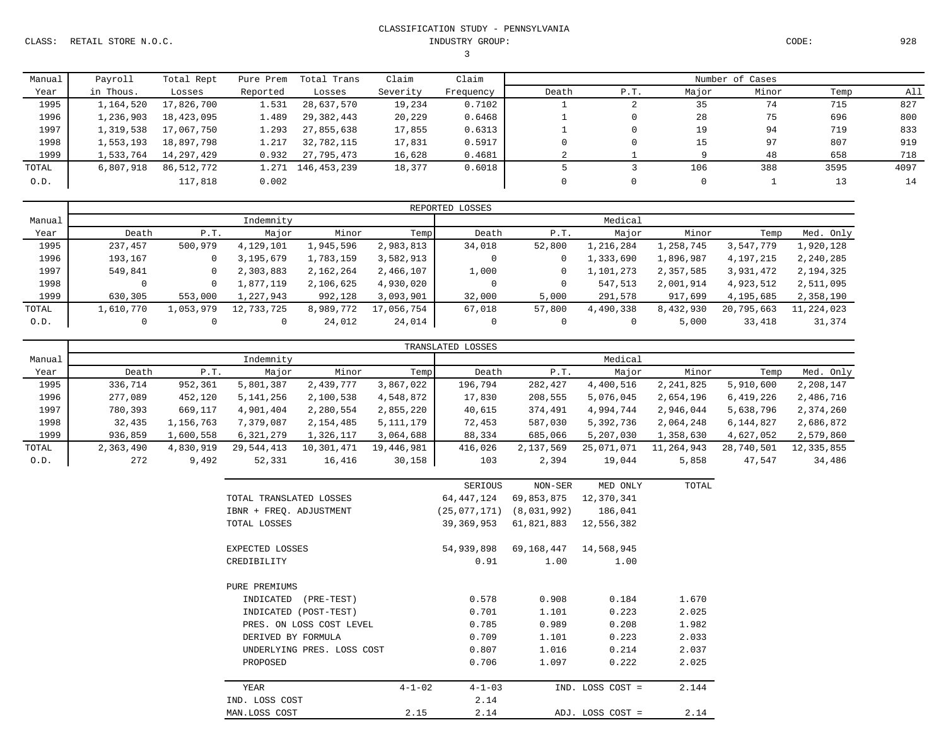CLASS: RETAIL STORE N.O.C. INDUSTRY GROUP: CODE: 928

# CLASSIFICATION STUDY - PENNSYLVANIA

3

| Manual | Payroll   | Total Rept | Pure Prem | Total Trans       | Claim    | Claim     |       | Number of Cases |      |       |       |      |      |
|--------|-----------|------------|-----------|-------------------|----------|-----------|-------|-----------------|------|-------|-------|------|------|
| Year   | in Thous. | Losses     | Reported  | Losses            | Severity | Frequency | Death |                 | P.T. | Major | Minor | Temp | All  |
| 1995   | 1,164,520 | 17,826,700 | 1.531     | 28,637,570        | 19,234   | 0.7102    |       |                 |      | 35    | 74    | 715  | 827  |
| 1996   | 1,236,903 | 18,423,095 | 1.489     | 29,382,443        | 20,229   | 0.6468    |       |                 |      | 28    | 75    | 696  | 800  |
| 1997   | 1,319,538 | 17,067,750 | 1.293     | 27,855,638        | 17,855   | 0.6313    |       |                 |      | 19    | 94    | 719  | 833  |
| 1998   | 1,553,193 | 18,897,798 | 1.217     | 32,782,115        | 17,831   | 0.5917    |       |                 |      | 15    | 97    | 807  | 919  |
| 1999   | 1,533,764 | 14,297,429 | 0.932     | 27,795,473        | 16,628   | 0.4681    |       |                 |      |       | 48    | 658  | 718  |
| TOTAL  | 6,807,918 | 86,512,772 |           | 1.271 146,453,239 | 18,377   | 0.6018    |       |                 |      | 106   | 388   | 3595 | 4097 |
| 0.D.   |           | 117,818    | 0.002     |                   |          |           |       |                 |      | 0     |       | 13   | 14   |

|        |           |           |            |           |            | REPORTED LOSSES |              |           |           |            |            |  |
|--------|-----------|-----------|------------|-----------|------------|-----------------|--------------|-----------|-----------|------------|------------|--|
| Manual |           |           | Indemnity  |           |            | Medical         |              |           |           |            |            |  |
| Year   | Death     | P.T.      | Major      | Minor     | Temp       | Death           | P.T.         | Major     | Minor     | Temp       | Med. Only  |  |
| 1995   | 237,457   | 500,979   | 4,129,101  | 1,945,596 | 2,983,813  | 34,018          | 52,800       | 1,216,284 | 1,258,745 | 3,547,779  | 1,920,128  |  |
| 1996   | 193,167   | 0         | 3,195,679  | 1,783,159 | 3,582,913  |                 | $\mathbf{0}$ | 1,333,690 | 1,896,987 | 4,197,215  | 2,240,285  |  |
| 1997   | 549,841   | 0         | 2,303,883  | 2,162,264 | 2,466,107  | 1,000           | $\circ$      | 1,101,273 | 2,357,585 | 3,931,472  | 2,194,325  |  |
| 1998   |           | 0         | 1,877,119  | 2,106,625 | 4,930,020  |                 | 0            | 547,513   | 2,001,914 | 4,923,512  | 2,511,095  |  |
| 1999   | 630,305   | 553,000   | 1,227,943  | 992,128   | 3,093,901  | 32,000          | 5,000        | 291,578   | 917,699   | 4,195,685  | 2,358,190  |  |
| TOTAL  | 1,610,770 | 1,053,979 | 12,733,725 | 8,989,772 | 17,056,754 | 67,018          | 57,800       | 4,490,338 | 8,432,930 | 20,795,663 | 11,224,023 |  |
| 0.D.   |           | 0         |            | 24,012    | 24,014     | 0               | 0            |           | 5,000     | 33,418     | 31,374     |  |

|        |           |           |             |            |             | TRANSLATED LOSSES |           |            |            |            |            |  |
|--------|-----------|-----------|-------------|------------|-------------|-------------------|-----------|------------|------------|------------|------------|--|
| Manual |           |           | Indemnity   |            |             | Medical           |           |            |            |            |            |  |
| Year   | Death     | P.T.      | Major       | Minor      | Temp        | Death             | P.T.      | Major      | Minor      | Temp       | Med. Only  |  |
| 1995   | 336,714   | 952,361   | 5,801,387   | 2,439,777  | 3,867,022   | 196,794           | 282,427   | 4,400,516  | 2,241,825  | 5,910,600  | 2,208,147  |  |
| 1996   | 277,089   | 452,120   | 5, 141, 256 | 2,100,538  | 4,548,872   | 17,830            | 208,555   | 5,076,045  | 2,654,196  | 6,419,226  | 2,486,716  |  |
| 1997   | 780,393   | 669,117   | 4,901,404   | 2,280,554  | 2,855,220   | 40,615            | 374,491   | 4,994,744  | 2,946,044  | 5,638,796  | 2,374,260  |  |
| 1998   | 32,435    | 1,156,763 | 7,379,087   | 2,154,485  | 5, 111, 179 | 72,453            | 587,030   | 5,392,736  | 2,064,248  | 6,144,827  | 2,686,872  |  |
| 1999   | 936,859   | 1,600,558 | 6,321,279   | 1,326,117  | 3,064,688   | 88,334            | 685,066   | 5,207,030  | 1,358,630  | 4,627,052  | 2,579,860  |  |
| TOTAL  | 2,363,490 | 4,830,919 | 29,544,413  | 10,301,471 | 19,446,981  | 416,026           | 2,137,569 | 25,071,071 | 11,264,943 | 28,740,501 | 12,335,855 |  |
| 0.D.   | 272       | 9,492     | 52,331      | 16,416     | 30,158      | 103               | 2,394     | 19,044     | 5,858      | 47.547     | 34,486     |  |

|                            |              | SERIOUS      | NON-SER     | MED ONLY         | TOTAL |
|----------------------------|--------------|--------------|-------------|------------------|-------|
| TOTAL TRANSLATED LOSSES    |              | 64,447,124   | 69,853,875  | 12,370,341       |       |
| IBNR + FREQ. ADJUSTMENT    |              | (25,077,171) | (8,031,992) | 186,041          |       |
| TOTAL LOSSES               |              | 39,369,953   | 61,821,883  | 12,556,382       |       |
| EXPECTED LOSSES            |              | 54,939,898   | 69,168,447  | 14,568,945       |       |
| CREDIBILITY                |              | 0.91         | 1.00        | 1.00             |       |
| PURE PREMIUMS              |              |              |             |                  |       |
| INDICATED<br>$(PRE-TEST)$  |              | 0.578        | 0.908       | 0.184            | 1.670 |
| INDICATED (POST-TEST)      |              | 0.701        | 1,101       | 0.223            | 2.025 |
| PRES. ON LOSS COST LEVEL   |              | 0.785        | 0.989       | 0.208            | 1.982 |
| DERIVED BY FORMULA         |              | 0.709        | 1,101       | 0.223            | 2.033 |
| UNDERLYING PRES. LOSS COST |              | 0.807        | 1.016       | 0.214            | 2.037 |
| PROPOSED                   |              | 0.706        | 1.097       | 0.222            | 2.025 |
| YEAR                       | $4 - 1 - 02$ | $4 - 1 - 03$ |             | IND. LOSS COST = | 2.144 |
| IND. LOSS COST             |              | 2.14         |             |                  |       |
| MAN.LOSS COST              | 2.15         | 2.14         |             | ADJ. LOSS COST = | 2.14  |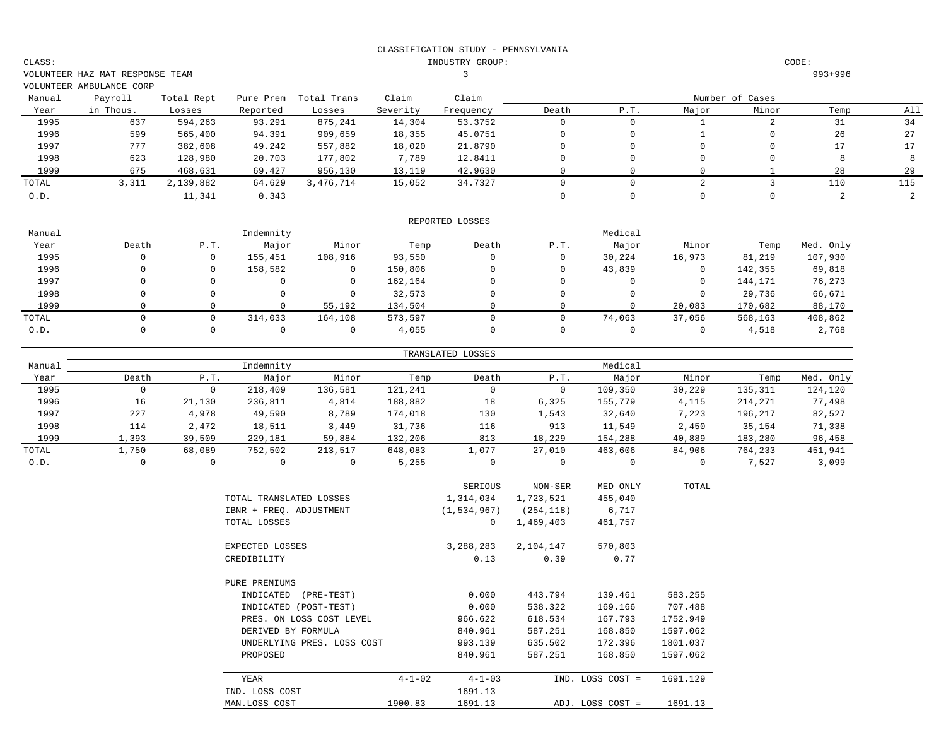INDUSTRY GROUP: CODE:

VOLUNTEER HAZ MAT RESPONSE TEAM 3 993+996  $VOT$ UNTEER AMBULANCE CORP

|        | VOLUNTEER AMBULANCE CORP |            |           |             |          |           |       |      |       |                 |      |     |
|--------|--------------------------|------------|-----------|-------------|----------|-----------|-------|------|-------|-----------------|------|-----|
| Manual | Payroll                  | Total Rept | Pure Prem | Total Trans | Claim    | Claim     |       |      |       | Number of Cases |      |     |
| Year   | in Thous.                | Losses     | Reported  | Losses      | Severity | Frequency | Death | P.T. | Major | Minor           | Temp | All |
| 1995   | 637                      | 594,263    | 93.291    | 875,241     | 14,304   | 53.3752   |       |      |       |                 | 31   | 34  |
| 1996   | 599                      | 565,400    | 94.391    | 909,659     | 18,355   | 45.0751   |       |      |       |                 | 26   | 27  |
| 1997   | 777                      | 382,608    | 49.242    | 557,882     | 18,020   | 21.8790   |       |      |       |                 | 17   |     |
| 1998   | 623                      | 128,980    | 20.703    | 177,802     | 7,789    | 12.8411   |       |      |       |                 |      |     |
| 1999   | 675                      | 468,631    | 69.427    | 956,130     | 13,119   | 42.9630   |       |      |       |                 | 28   | 29  |
| TOTAL  | 3,311                    | 2,139,882  | 64.629    | 3,476,714   | 15,052   | 34.7327   |       |      |       |                 | 110  | 115 |
| 0.D.   |                          | 11,341     | 0.343     |             |          |           |       |      |       |                 |      |     |

|        |       |      |           |         |         | REPORTED LOSSES |      |         |        |         |           |
|--------|-------|------|-----------|---------|---------|-----------------|------|---------|--------|---------|-----------|
| Manual |       |      | Indemnity |         |         |                 |      | Medical |        |         |           |
| Year   | Death | P.T. | Major     | Minor   | Temp    | Death           | P.T. | Major   | Minor  | Temp    | Med. Only |
| 1995   |       | 0    | 155,451   | 108,916 | 93,550  | 0               |      | 30,224  | 16,973 | 81,219  | 107,930   |
| 1996   |       | 0    | 158,582   | 0       | 150,806 | 0               |      | 43,839  |        | 142,355 | 69,818    |
| 1997   |       |      |           | 0       | 162,164 | 0               |      |         |        | 144,171 | 76,273    |
| 1998   |       |      |           | 0       | 32,573  | 0               |      |         |        | 29,736  | 66,671    |
| 1999   |       |      |           | 55,192  | 134,504 |                 |      |         | 20,083 | 170,682 | 88,170    |
| TOTAL  |       |      | 314,033   | 164,108 | 573,597 |                 |      | 74,063  | 37,056 | 568,163 | 408,862   |
| 0.D.   |       |      |           |         | 4,055   | 0               |      |         |        | 4,518   | 2,768     |

|        |          |        |           |         |         | TRANSLATED LOSSES |        |         |        |         |           |
|--------|----------|--------|-----------|---------|---------|-------------------|--------|---------|--------|---------|-----------|
| Manual |          |        | Indemnity |         |         | Medical           |        |         |        |         |           |
| Year   | Death    | P.T.   | Major     | Minor   | Temp    | Death             | P.T.   | Major   | Minor  | Temp    | Med. Only |
| 1995   | 0        |        | 218,409   | 136,581 | 121,241 | 0                 |        | 109,350 | 30,229 | 135,311 | 124,120   |
| 1996   | 16       | 21,130 | 236,811   | 4,814   | 188,882 | 18                | 6,325  | 155,779 | 4,115  | 214,271 | 77,498    |
| 1997   | 227      | 4,978  | 49,590    | 8,789   | 174,018 | 130               | 1,543  | 32,640  | 7,223  | 196,217 | 82,527    |
| 1998   | 114      | 2,472  | 18,511    | 3,449   | 31,736  | 116               | 913    | 11,549  | 2,450  | 35,154  | 71,338    |
| 1999   | 1,393    | 39,509 | 229,181   | 59,884  | 132,206 | 813               | 18,229 | 154,288 | 40,889 | 183,280 | 96,458    |
| TOTAL  | 1,750    | 68,089 | 752,502   | 213,517 | 648,083 | 1,077             | 27,010 | 463,606 | 84,906 | 764,233 | 451,941   |
| 0.D.   | $\Omega$ |        |           |         | 5,255   | $\Omega$          |        |         |        | 7.527   | 3,099     |

|                            |              | SERIOUS       | NON-SER    | MED ONLY         | TOTAL    |
|----------------------------|--------------|---------------|------------|------------------|----------|
| TOTAL TRANSLATED LOSSES    |              | 1,314,034     | 1,723,521  | 455,040          |          |
| IBNR + FREQ. ADJUSTMENT    |              | (1, 534, 967) | (254, 118) | 6,717            |          |
| TOTAL LOSSES               |              | 0             | 1,469,403  | 461,757          |          |
| EXPECTED LOSSES            |              | 3,288,283     | 2,104,147  | 570,803          |          |
| CREDIBILITY                |              | 0.13          | 0.39       | 0.77             |          |
| PURE PREMIUMS              |              |               |            |                  |          |
| INDICATED<br>$(PRE-TEST)$  |              | 0.000         | 443.794    | 139.461          | 583.255  |
| INDICATED (POST-TEST)      |              | 0.000         | 538.322    | 169.166          | 707.488  |
| PRES. ON LOSS COST LEVEL   |              | 966.622       | 618.534    | 167.793          | 1752.949 |
| DERIVED BY FORMULA         |              | 840.961       | 587.251    | 168.850          | 1597.062 |
| UNDERLYING PRES. LOSS COST |              | 993.139       | 635.502    | 172.396          | 1801.037 |
| PROPOSED                   |              | 840.961       | 587.251    | 168.850          | 1597.062 |
| YEAR                       | $4 - 1 - 02$ | $4 - 1 - 03$  |            | IND. LOSS COST = | 1691.129 |
| IND. LOSS COST             |              | 1691.13       |            |                  |          |
| MAN.LOSS COST              | 1900.83      | 1691.13       |            | ADJ. LOSS COST = | 1691.13  |

CLASS: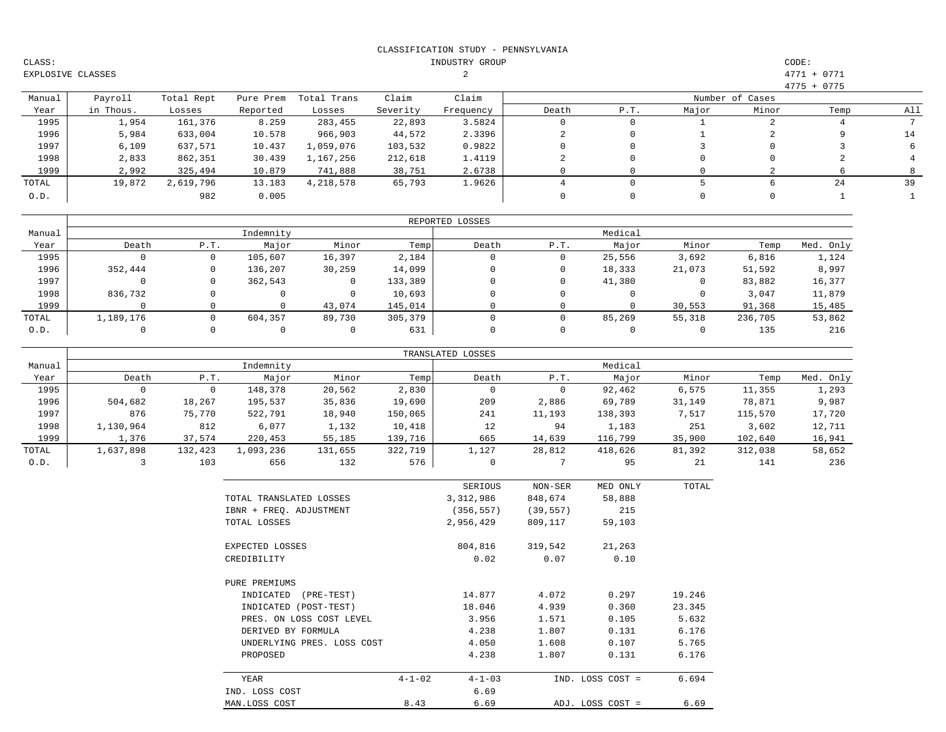| CLASS:            |  |
|-------------------|--|
| EXPLOSIVE CLASSES |  |

# INDUSTRY GROUP CODE:  $1.3$  3 4771 + 0771

|        |           |            |           |             |          |           |       |     |       |                 | $4775 + 0775$ |     |
|--------|-----------|------------|-----------|-------------|----------|-----------|-------|-----|-------|-----------------|---------------|-----|
| Manual | Payroll   | Total Rept | Pure Prem | Total Trans | Claim    | Claim     |       |     |       | Number of Cases |               |     |
| Year   | in Thous. | Losses     | Reported  | Losses      | Severity | Frequency | Death | P.T | Major | Minor           | Temp          | All |
| 1995   | 1,954     | 161,376    | 8.259     | 283,455     | 22,893   | 3.5824    |       |     |       |                 |               |     |
| 1996   | 5,984     | 633,004    | 10.578    | 966,903     | 44,572   | 2.3396    |       |     |       |                 |               | 14  |
| 1997   | 6,109     | 637,571    | 10.437    | 1,059,076   | 103,532  | 0.9822    |       |     |       |                 |               |     |
| 1998   | 2,833     | 862,351    | 30.439    | 1,167,256   | 212,618  | 1.4119    |       |     |       |                 |               |     |
| 1999   | 2,992     | 325,494    | 10.879    | 741,888     | 38,751   | 2.6738    |       |     |       |                 |               |     |
| TOTAL  | 19,872    | 2,619,796  | 13.183    | 4,218,578   | 65,793   | 1.9626    |       |     |       |                 | 24            | 39  |
| 0.D.   |           | 982        | 0.005     |             |          |           |       |     |       |                 |               |     |

|        |           |      |           |        |         | REPORTED LOSSES |      |         |        |         |           |
|--------|-----------|------|-----------|--------|---------|-----------------|------|---------|--------|---------|-----------|
| Manual |           |      | Indemnity |        |         |                 |      | Medical |        |         |           |
| Year   | Death     | P.T. | Major     | Minor  | Temp    | Death           | P.T. | Major   | Minor  | Temp    | Med. Only |
| 1995   |           |      | 105,607   | 16,397 | 2,184   |                 |      | 25,556  | 3,692  | 6,816   | 1,124     |
| 1996   | 352,444   |      | 136,207   | 30,259 | 14,099  |                 |      | 18,333  | 21,073 | 51,592  | 8,997     |
| 1997   |           |      | 362,543   | 0      | 133,389 |                 |      | 41,380  |        | 83,882  | 16,377    |
| 1998   | 836,732   |      |           |        | 10,693  |                 |      |         |        | 3,047   | 11,879    |
| 1999   |           |      |           | 43,074 | 145,014 |                 |      |         | 30,553 | 91,368  | 15,485    |
| TOTAL  | 1,189,176 |      | 604,357   | 89,730 | 305,379 |                 |      | 85,269  | 55,318 | 236,705 | 53,862    |
| 0.D.   |           |      |           |        | 631     |                 |      |         |        | 135     | 216       |

|        |           |         |           |         |         | TRANSLATED LOSSES |        |         |        |         |           |
|--------|-----------|---------|-----------|---------|---------|-------------------|--------|---------|--------|---------|-----------|
| Manual |           |         | Indemnity |         |         |                   |        | Medical |        |         |           |
| Year   | Death     | P.T.    | Major     | Minor   | Temp    | Death             | P.T.   | Major   | Minor  | Temp    | Med. Only |
| 1995   |           |         | 148,378   | 20,562  | 2,830   | 0                 | υ      | 92,462  | 6,575  | 11,355  | 1,293     |
| 1996   | 504,682   | 18,267  | 195,537   | 35,836  | 19,690  | 209               | 2,886  | 69,789  | 31,149 | 78,871  | 9,987     |
| 1997   | 876       | 75,770  | 522,791   | 18,940  | 150,065 | 241               | 11,193 | 138,393 | 7,517  | 115,570 | 17,720    |
| 1998   | 1,130,964 | 812     | 6,077     | 1,132   | 10,418  | 12                | 94     | 1,183   | 251    | 3,602   | 12,711    |
| 1999   | 1,376     | 37,574  | 220,453   | 55,185  | 139,716 | 665               | 14,639 | 116,799 | 35,900 | 102,640 | 16,941    |
| TOTAL  | 1,637,898 | 132,423 | 1,093,236 | 131,655 | 322,719 | 1,127             | 28,812 | 418,626 | 81,392 | 312,038 | 58,652    |
| 0.D.   |           | 103     | 656       | 132     | 576     | 0                 |        | 95      | 21     | 141     | 236       |

|                            |              | SERIOUS      | NON-SER   | MED ONLY         | TOTAL  |
|----------------------------|--------------|--------------|-----------|------------------|--------|
| TOTAL TRANSLATED LOSSES    |              | 3,312,986    | 848,674   | 58,888           |        |
| IBNR + FREQ. ADJUSTMENT    |              | (356, 557)   | (39, 557) | 215              |        |
| TOTAL LOSSES               |              | 2,956,429    | 809,117   | 59,103           |        |
| EXPECTED LOSSES            |              | 804,816      | 319,542   | 21,263           |        |
| CREDIBILITY                |              | 0.02         | 0.07      | 0.10             |        |
| PURE PREMIUMS              |              |              |           |                  |        |
| INDICATED<br>$(PRE-TEST)$  |              | 14.877       | 4.072     | 0.297            | 19.246 |
| INDICATED (POST-TEST)      |              | 18.046       | 4.939     | 0.360            | 23.345 |
| PRES. ON LOSS COST LEVEL   |              | 3.956        | 1.571     | 0.105            | 5.632  |
| DERIVED BY FORMULA         |              | 4.238        | 1.807     | 0.131            | 6.176  |
| UNDERLYING PRES. LOSS COST |              | 4.050        | 1.608     | 0.107            | 5.765  |
| PROPOSED                   |              | 4.238        | 1.807     | 0.131            | 6.176  |
| YEAR                       | $4 - 1 - 02$ | $4 - 1 - 03$ |           | IND. LOSS COST = | 6.694  |
| IND. LOSS COST             |              | 6.69         |           |                  |        |
| MAN.LOSS COST              | 8.43         | 6.69         |           | ADJ. LOSS COST = | 6.69   |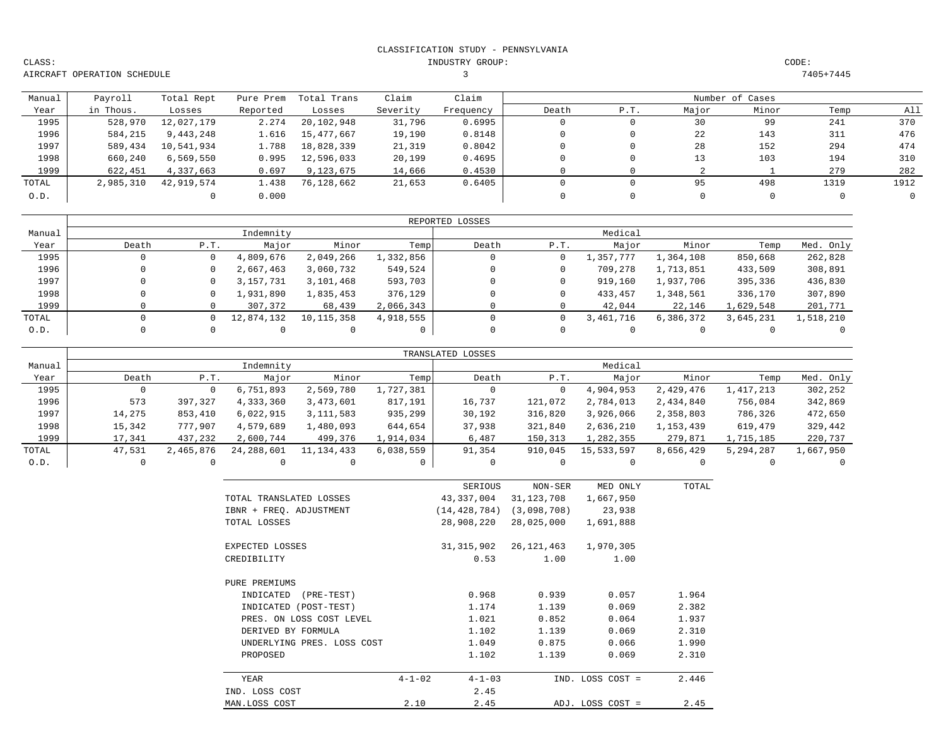INDUSTRY GROUP: CODE:

AIRCRAFT OPERATION SCHEDULE

CLASS:

3 7405+7445

| Manual | Payroll   | Total Rept | Pure Prem | Total Trans | Claim    | Claim     |       |     |       | Number of Cases |      |      |
|--------|-----------|------------|-----------|-------------|----------|-----------|-------|-----|-------|-----------------|------|------|
| Year   | in Thous. | Losses     | Reported  | Losses      | Severity | Frequency | Death | P.T | Major | Minor           | Temp | All  |
| 1995   | 528,970   | 12,027,179 | 2.274     | 20,102,948  | 31,796   | 0.6995    |       |     | 30    | 99              | 241  | 370  |
| 1996   | 584,215   | 9,443,248  | 1.616     | 15,477,667  | 19,190   | 0.8148    |       |     | 22    | 143             | 311  | 476  |
| 1997   | 589,434   | 10,541,934 | 1.788     | 18,828,339  | 21,319   | 0.8042    |       |     | 28    | 152             | 294  | 474  |
| 1998   | 660,240   | 6,569,550  | 0.995     | 12,596,033  | 20,199   | 0.4695    |       |     | 13    | 103             | 194  | 310  |
| 1999   | 622,451   | 4,337,663  | 0.697     | 9,123,675   | 14,666   | 0.4530    |       |     |       |                 | 279  | 282  |
| TOTAL  | 2,985,310 | 42,919,574 | 1.438     | 76,128,662  | 21,653   | 0.6405    |       |     | 95    | 498             | 1319 | 1912 |
| 0.D.   |           |            | 0.000     |             |          |           |       |     |       |                 |      |      |

|        |              |      |            |              |           | REPORTED LOSSES |      |           |           |           |           |
|--------|--------------|------|------------|--------------|-----------|-----------------|------|-----------|-----------|-----------|-----------|
| Manual |              |      | Indemnity  |              |           |                 |      | Medical   |           |           |           |
| Year   | Death        | P.T. | Major      | Minor        | Temp      | Death           | P.T. | Major     | Minor     | Temp      | Med. Only |
| 1995   | $\mathbf{0}$ |      | 4,809,676  | 2,049,266    | 1,332,856 |                 |      | 1,357,777 | 1,364,108 | 850,668   | 262,828   |
| 1996   |              |      | 2,667,463  | 3,060,732    | 549,524   |                 |      | 709,278   | 1,713,851 | 433,509   | 308,891   |
| 1997   |              |      | 3,157,731  | 3,101,468    | 593,703   |                 |      | 919,160   | 1,937,706 | 395,336   | 436,830   |
| 1998   |              |      | 1,931,890  | 1,835,453    | 376,129   |                 |      | 433,457   | 1,348,561 | 336,170   | 307,890   |
| 1999   |              |      | 307,372    | 68,439       | 2,066,343 |                 |      | 42,044    | 22,146    | 1,629,548 | 201,771   |
| TOTAL  |              |      | 12,874,132 | 10, 115, 358 | 4,918,555 |                 |      | 3,461,716 | 6,386,372 | 3,645,231 | 1,518,210 |
| 0.D.   |              |      |            |              | 0         |                 |      |           |           |           |           |

|        |        |           |            |              |           | TRANSLATED LOSSES |         |            |           |           |           |
|--------|--------|-----------|------------|--------------|-----------|-------------------|---------|------------|-----------|-----------|-----------|
| Manual |        |           | Indemnity  |              |           |                   |         | Medical    |           |           |           |
| Year   | Death  | P.T.      | Major      | Minor        | Temp      | Death             | P.T.    | Major      | Minor     | Temp      | Med. Only |
| 1995   |        | 0         | 6,751,893  | 2,569,780    | 1,727,381 |                   |         | 4,904,953  | 2,429,476 | 417,213   | 302,252   |
| 1996   | 573    | 397,327   | 4,333,360  | 3,473,601    | 817,191   | 16,737            | 121,072 | 2,784,013  | 2,434,840 | 756,084   | 342,869   |
| 1997   | 14,275 | 853,410   | 6,022,915  | 3, 111, 583  | 935,299   | 30,192            | 316,820 | 3,926,066  | 2,358,803 | 786,326   | 472,650   |
| 1998   | 15,342 | 777,907   | 4,579,689  | 1,480,093    | 644,654   | 37,938            | 321,840 | 2,636,210  | 1,153,439 | 619,479   | 329,442   |
| 1999   | 17,341 | 437,232   | 2,600,744  | 499,376      | 1,914,034 | 6,487             | 150,313 | 1,282,355  | 279,871   | 1,715,185 | 220,737   |
| TOTAL  | 47,531 | 2,465,876 | 24,288,601 | 11, 134, 433 | 6,038,559 | 91,354            | 910,045 | 15,533,597 | 8,656,429 | 5,294,287 | 1,667,950 |
| 0.D.   |        |           |            |              |           |                   |         |            |           |           |           |

|                            | SERIOUS                      | NON-SER     | MED ONLY         | TOTAL |
|----------------------------|------------------------------|-------------|------------------|-------|
| TOTAL TRANSLATED LOSSES    | 43,337,004                   | 31,123,708  | 1,667,950        |       |
| IBNR + FREQ. ADJUSTMENT    | (14, 428, 784)               | (3,098,708) | 23,938           |       |
| TOTAL LOSSES               | 28,908,220                   | 28,025,000  | 1,691,888        |       |
| EXPECTED LOSSES            | 31,315,902                   | 26,121,463  | 1,970,305        |       |
| CREDIBILITY                | 0.53                         | 1.00        | 1.00             |       |
| PURE PREMIUMS              |                              |             |                  |       |
| INDICATED<br>$(PRE-TEST)$  | 0.968                        | 0.939       | 0.057            | 1.964 |
| INDICATED (POST-TEST)      | 1.174                        | 1.139       | 0.069            | 2.382 |
| PRES. ON LOSS COST LEVEL   | 1.021                        | 0.852       | 0.064            | 1.937 |
| DERIVED BY FORMULA         | 1.102                        | 1.139       | 0.069            | 2.310 |
| UNDERLYING PRES. LOSS COST | 1.049                        | 0.875       | 0.066            | 1.990 |
| PROPOSED                   | 1.102                        | 1.139       | 0.069            | 2.310 |
| YEAR                       | $4 - 1 - 02$<br>$4 - 1 - 03$ |             | IND. LOSS COST = | 2.446 |
| IND. LOSS COST             | 2.45                         |             |                  |       |
| MAN.LOSS COST              | 2.45<br>2.10                 |             | ADJ. LOSS COST = | 2.45  |